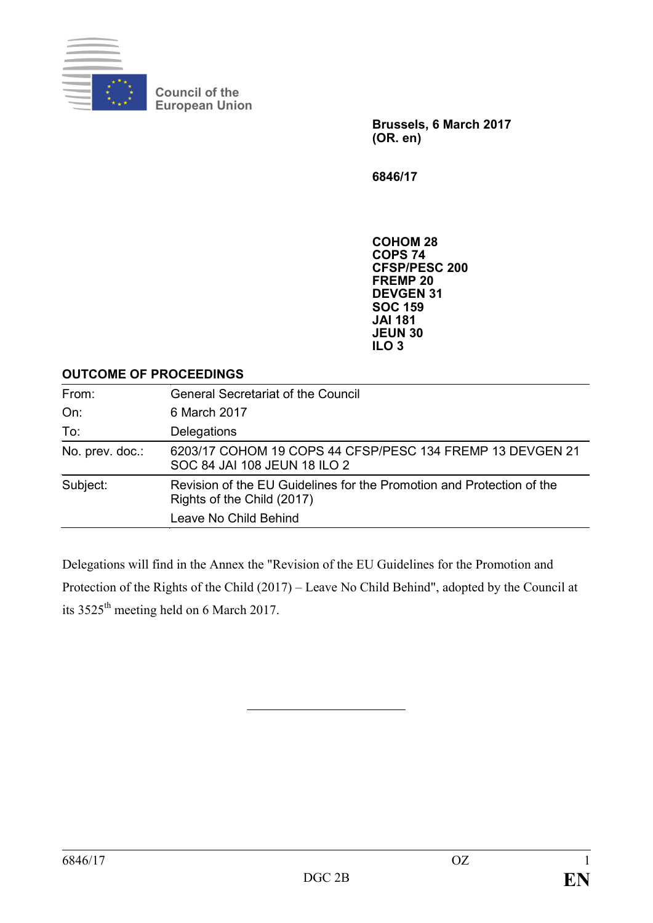

**Council of the European Union**

> **Brussels, 6 March 2017 (OR. en)**

**6846/17**

**COHOM 28 COPS 74 CFSP/PESC 200 FREMP 20 DEVGEN 31 SOC 159 JAI 181 JEUN 30 ILO 3**

#### **OUTCOME OF PROCEEDINGS**

| From:           | <b>General Secretariat of the Council</b>                                                           |
|-----------------|-----------------------------------------------------------------------------------------------------|
| On:             | 6 March 2017                                                                                        |
| To:             | Delegations                                                                                         |
| No. prev. doc.: | 6203/17 COHOM 19 COPS 44 CFSP/PESC 134 FREMP 13 DEVGEN 21<br>SOC 84 JAI 108 JEUN 18 ILO 2           |
| Subject:        | Revision of the EU Guidelines for the Promotion and Protection of the<br>Rights of the Child (2017) |
|                 | Leave No Child Behind                                                                               |

Delegations will find in the Annex the "Revision of the EU Guidelines for the Promotion and Protection of the Rights of the Child (2017) – Leave No Child Behind", adopted by the Council at its 3525<sup>th</sup> meeting held on 6 March 2017.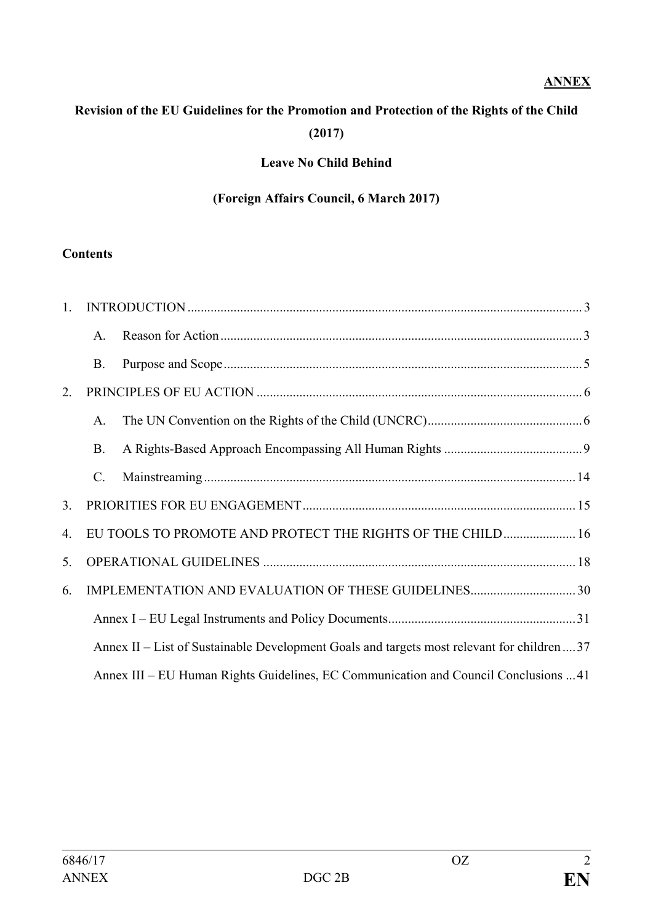## **ANNEX**

# **Revision of the EU Guidelines for the Promotion and Protection of the Rights of the Child (2017)**

## **Leave No Child Behind**

#### **(Foreign Affairs Council, 6 March 2017)**

#### **Contents**

| $1_{-}$ |              |                                                                                             |  |
|---------|--------------|---------------------------------------------------------------------------------------------|--|
|         | $\mathsf{A}$ |                                                                                             |  |
|         | <b>B.</b>    |                                                                                             |  |
| 2.      |              |                                                                                             |  |
|         | A.           |                                                                                             |  |
|         | <b>B.</b>    |                                                                                             |  |
|         | $C$ .        |                                                                                             |  |
| 3.      |              |                                                                                             |  |
| 4.      |              | EU TOOLS TO PROMOTE AND PROTECT THE RIGHTS OF THE CHILD 16                                  |  |
| 5.      |              |                                                                                             |  |
| 6.      |              |                                                                                             |  |
|         |              |                                                                                             |  |
|         |              | Annex II – List of Sustainable Development Goals and targets most relevant for children  37 |  |
|         |              | Annex III – EU Human Rights Guidelines, EC Communication and Council Conclusions 41         |  |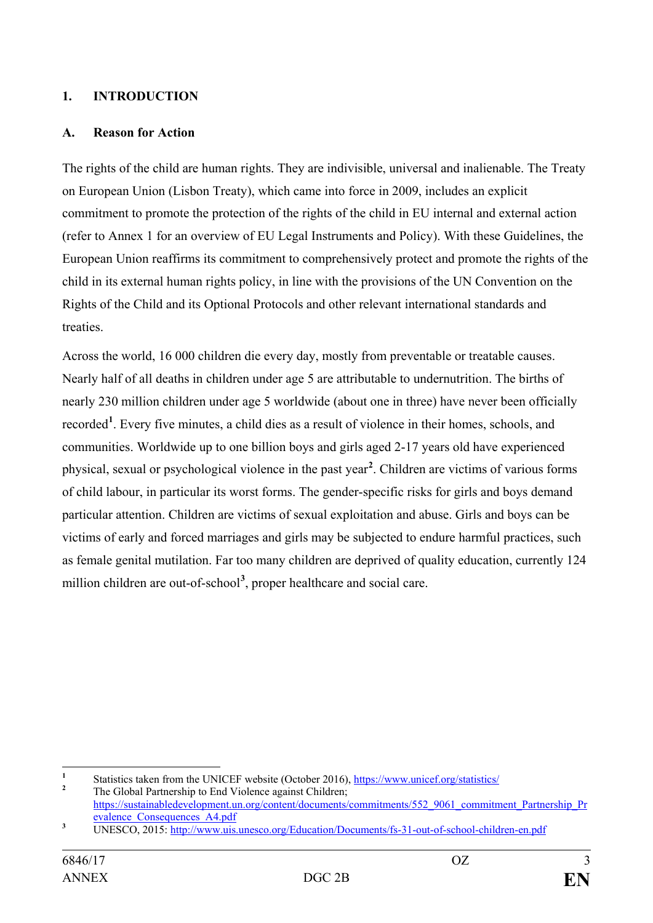#### <span id="page-2-0"></span>**1. INTRODUCTION**

#### <span id="page-2-1"></span>**A. Reason for Action**

The rights of the child are human rights. They are indivisible, universal and inalienable. The Treaty on European Union (Lisbon Treaty), which came into force in 2009, includes an explicit commitment to promote the protection of the rights of the child in EU internal and external action (refer to Annex 1 for an overview of EU Legal Instruments and Policy). With these Guidelines, the European Union reaffirms its commitment to comprehensively protect and promote the rights of the child in its external human rights policy, in line with the provisions of the UN Convention on the Rights of the Child and its Optional Protocols and other relevant international standards and treaties.

Across the world, 16 000 children die every day, mostly from preventable or treatable causes. Nearly half of all deaths in children under age 5 are attributable to undernutrition. The births of nearly 230 million children under age 5 worldwide (about one in three) have never been officially recorded**[1](#page-2-2)** . Every five minutes, a child dies as a result of violence in their homes, schools, and communities. Worldwide up to one billion boys and girls aged 2-17 years old have experienced physical, sexual or psychological violence in the past year**[2](#page-2-3)** . Children are victims of various forms of child labour, in particular its worst forms. The gender-specific risks for girls and boys demand particular attention. Children are victims of sexual exploitation and abuse. Girls and boys can be victims of early and forced marriages and girls may be subjected to endure harmful practices, such as female genital mutilation. Far too many children are deprived of quality education, currently 124 million children are out-of-school<sup>[3](#page-2-4)</sup>, proper healthcare and social care.

<span id="page-2-2"></span><sup>&</sup>lt;sup>1</sup> Statistics taken from the UNICEF website (October 2016), <u><https://www.unicef.org/statistics/></u><br><sup>2</sup> The Global Partnership to End Violence against Children;

<span id="page-2-3"></span>[https://sustainabledevelopment.un.org/content/documents/commitments/552\\_9061\\_commitment\\_Partnership\\_Pr](https://sustainabledevelopment.un.org/content/documents/commitments/552_9061_commitment_Partnership_Prevalence_Consequences_A4.pdf)<br>evalence Consequences A4.pdf

<span id="page-2-4"></span><sup>&</sup>lt;sup>3</sup> UNESCO, 2015:<http://www.uis.unesco.org/Education/Documents/fs-31-out-of-school-children-en.pdf>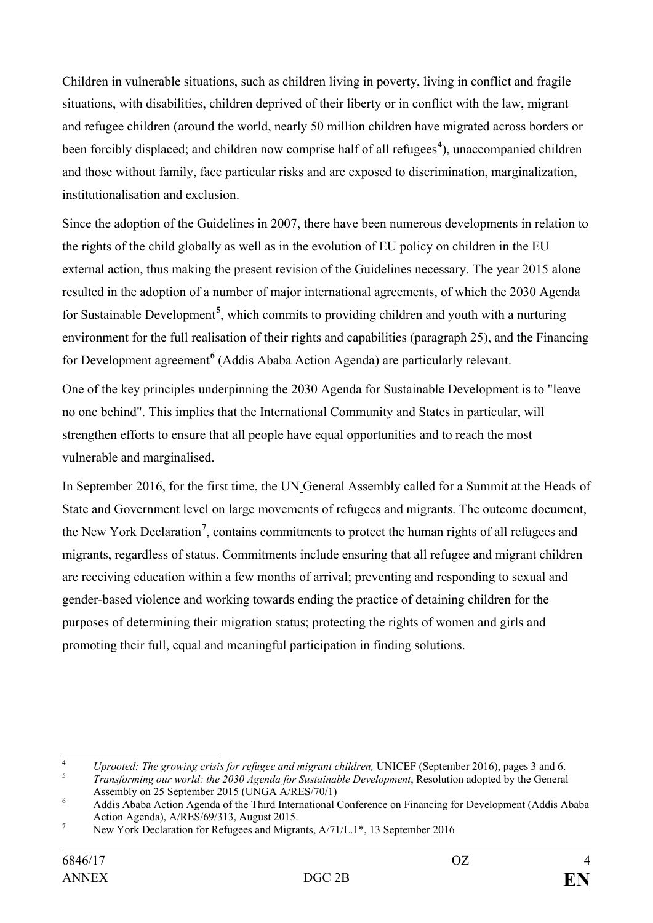Children in vulnerable situations, such as children living in poverty, living in conflict and fragile situations, with disabilities, children deprived of their liberty or in conflict with the law, migrant and refugee children (around the world, nearly 50 million children have migrated across borders or been forcibly displaced; and children now comprise half of all refugees<sup>[4](#page-3-0)</sup>), unaccompanied children and those without family, face particular risks and are exposed to discrimination, marginalization, institutionalisation and exclusion.

Since the adoption of the Guidelines in 2007, there have been numerous developments in relation to the rights of the child globally as well as in the evolution of EU policy on children in the EU external action, thus making the present revision of the Guidelines necessary. The year 2015 alone resulted in the adoption of a number of major international agreements, of which the 2030 Agenda for Sustainable Development**[5](#page-3-1)** , which commits to providing children and youth with a nurturing environment for the full realisation of their rights and capabilities (paragraph 25), and the Financing for Development agreement**[6](#page-3-2)** (Addis Ababa Action Agenda) are particularly relevant.

One of the key principles underpinning the 2030 Agenda for Sustainable Development is to "leave no one behind". This implies that the International Community and States in particular, will strengthen efforts to ensure that all people have equal opportunities and to reach the most vulnerable and marginalised.

In September 2016, for the first time, the UN General Assembly called for a Summit at the Heads of State and Government level on large movements of refugees and migrants. The outcome document, the New York Declaration**[7](#page-3-3)** , contains commitments to protect the human rights of all refugees and migrants, regardless of status. Commitments include ensuring that all refugee and migrant children are receiving education within a few months of arrival; preventing and responding to sexual and gender-based violence and working towards ending the practice of detaining children for the purposes of determining their migration status; protecting the rights of women and girls and promoting their full, equal and meaningful participation in finding solutions.

<span id="page-3-0"></span><sup>&</sup>lt;sup>4</sup> *Uprooted: The growing crisis for refugee and migrant children, UNICEF (September 2016), pages 3 and 6. <i>Transforming our world: the 2030 Agenda for Sustainable Development*, Resolution adopted by the General Assembly

<span id="page-3-1"></span>

<span id="page-3-2"></span>Addis Ababa Action Agenda of the Third International Conference on Financing for Development (Addis Ababa Action Agenda),  $A/RES/69/313$ , August 2015.

<span id="page-3-3"></span><sup>&</sup>lt;sup>7</sup> New York Declaration for Refugees and Migrants, A/71/L.1<sup>\*</sup>, 13 September 2016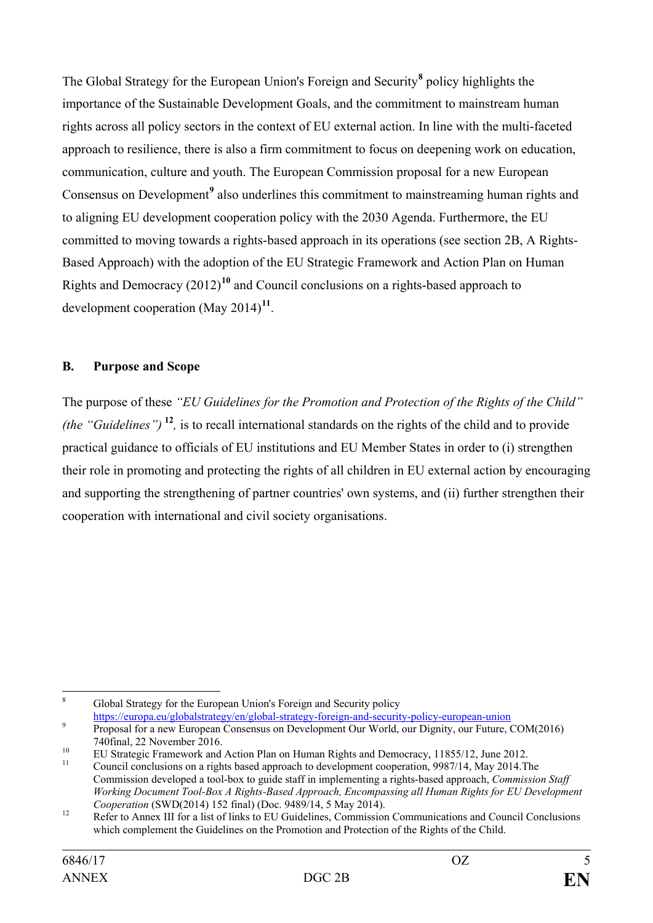The Global Strategy for the European Union's Foreign and Security**[8](#page-4-1)** policy highlights the importance of the Sustainable Development Goals, and the commitment to mainstream human rights across all policy sectors in the context of EU external action. In line with the multi-faceted approach to resilience, there is also a firm commitment to focus on deepening work on education, communication, culture and youth. The European Commission proposal for a new European Consensus on Development**[9](#page-4-2)** also underlines this commitment to mainstreaming human rights and to aligning EU development cooperation policy with the 2030 Agenda. Furthermore, the EU committed to moving towards a rights-based approach in its operations (see section 2B, A Rights-Based Approach) with the adoption of the EU Strategic Framework and Action Plan on Human Rights and Democracy (2012)**[10](#page-4-3)** and Council conclusions on a rights-based approach to development cooperation (May 2014)**[11](#page-4-4)**.

## <span id="page-4-0"></span>**B. Purpose and Scope**

The purpose of these *"EU Guidelines for the Promotion and Protection of the Rights of the Child" (the "Guidelines")* **[12](#page-4-5)***,* is to recall international standards on the rights of the child and to provide practical guidance to officials of EU institutions and EU Member States in order to (i) strengthen their role in promoting and protecting the rights of all children in EU external action by encouraging and supporting the strengthening of partner countries' own systems, and (ii) further strengthen their cooperation with international and civil society organisations.

<span id="page-4-1"></span> <sup>8</sup> Global Strategy for the European Union's Foreign and Security policy <https://europa.eu/globalstrategy/en/global-strategy-foreign-and-security-policy-european-union><br>Proposal for a new European Consensus on Development Our World, our Dignity, our Future, COM(2016)

<span id="page-4-2"></span>

<span id="page-4-3"></span><sup>740</sup>final, 22 November 2016.<br>
<sup>10</sup> EU Strategic Framework and Action Plan on Human Rights and Democracy, 11855/12, June 2012.<br>
<sup>11</sup> Council conclusions on a rights based approach to development cooperation, 9987/14, May 201

<span id="page-4-4"></span>Commission developed a tool-box to guide staff in implementing a rights-based approach, *Commission Staff Working Document Tool-Box A Rights-Based Approach, Encompassing all Human Rights for EU Development*

<span id="page-4-5"></span><sup>&</sup>lt;sup>12</sup> Refer to Annex III for a list of links to EU Guidelines, Commission Communications and Council Conclusions which complement the Guidelines on the Promotion and Protection of the Rights of the Child.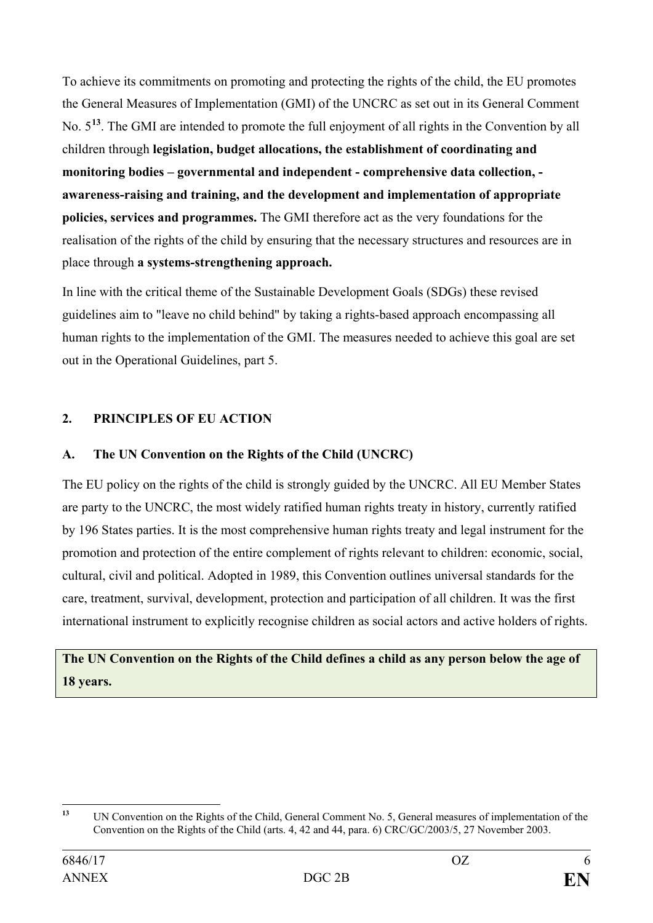To achieve its commitments on promoting and protecting the rights of the child, the EU promotes the General Measures of Implementation (GMI) of the UNCRC as set out in its General Comment No. 5**[13](#page-5-2)**. The GMI are intended to promote the full enjoyment of all rights in the Convention by all children through **legislation, budget allocations, the establishment of coordinating and monitoring bodies – governmental and independent - comprehensive data collection, awareness-raising and training, and the development and implementation of appropriate policies, services and programmes.** The GMI therefore act as the very foundations for the realisation of the rights of the child by ensuring that the necessary structures and resources are in place through **a systems-strengthening approach.**

In line with the critical theme of the Sustainable Development Goals (SDGs) these revised guidelines aim to "leave no child behind" by taking a rights-based approach encompassing all human rights to the implementation of the GMI. The measures needed to achieve this goal are set out in the Operational Guidelines, part 5.

## <span id="page-5-0"></span>**2. PRINCIPLES OF EU ACTION**

## <span id="page-5-1"></span>**A. The UN Convention on the Rights of the Child (UNCRC)**

The EU policy on the rights of the child is strongly guided by the UNCRC. All EU Member States are party to the UNCRC, the most widely ratified human rights treaty in history, currently ratified by 196 States parties. It is the most comprehensive human rights treaty and legal instrument for the promotion and protection of the entire complement of rights relevant to children: economic, social, cultural, civil and political. Adopted in 1989, this Convention outlines universal standards for the care, treatment, survival, development, protection and participation of all children. It was the first international instrument to explicitly recognise children as social actors and active holders of rights.

# **The UN Convention on the Rights of the Child defines a child as any person below the age of 18 years.**

<span id="page-5-2"></span>**<sup>13</sup>** UN Convention on the Rights of the Child, General Comment No. 5, General measures of implementation of the Convention on the Rights of the Child (arts. 4, 42 and 44, para. 6) CRC/GC/2003/5, 27 November 2003.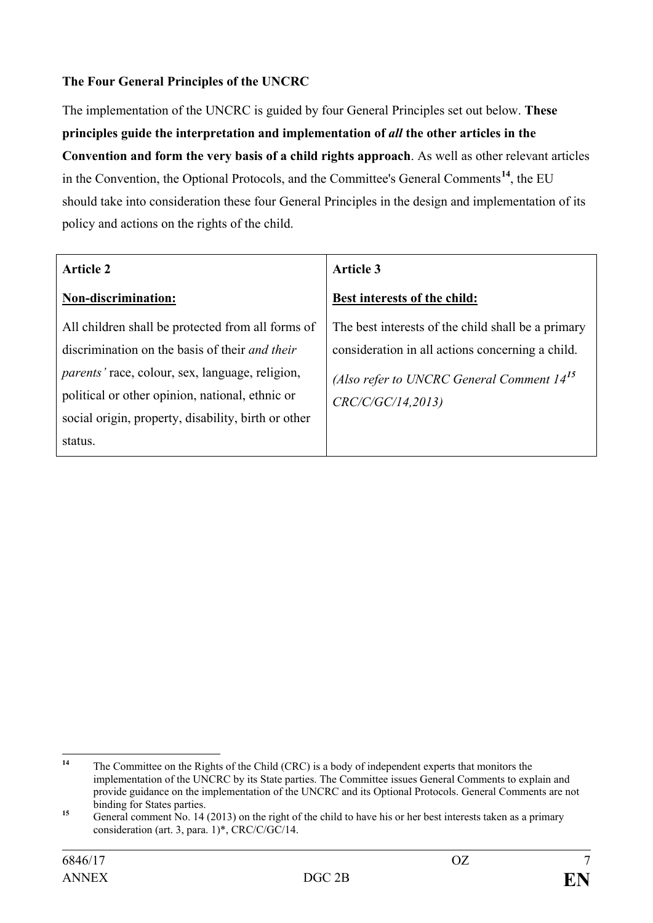## **The Four General Principles of the UNCRC**

The implementation of the UNCRC is guided by four General Principles set out below. **These principles guide the interpretation and implementation of** *all* **the other articles in the Convention and form the very basis of a child rights approach**. As well as other relevant articles in the Convention, the Optional Protocols, and the Committee's General Comments**[14](#page-6-0)**, the EU should take into consideration these four General Principles in the design and implementation of its policy and actions on the rights of the child.

| <b>Article 2</b>                                       | <b>Article 3</b>                                   |  |
|--------------------------------------------------------|----------------------------------------------------|--|
| Non-discrimination:                                    | Best interests of the child:                       |  |
| All children shall be protected from all forms of      | The best interests of the child shall be a primary |  |
| discrimination on the basis of their <i>and their</i>  | consideration in all actions concerning a child.   |  |
| <i>parents'</i> race, colour, sex, language, religion, | (Also refer to UNCRC General Comment $14^{15}$     |  |
| political or other opinion, national, ethnic or        | CRC/C/GC/14,2013                                   |  |
| social origin, property, disability, birth or other    |                                                    |  |
| status.                                                |                                                    |  |

<span id="page-6-0"></span>**<sup>14</sup>** The Committee on the Rights of the Child (CRC) is a body of independent experts that monitors the implementation of the UNCRC by its State parties. The Committee issues General Comments to explain and provide guidance on the implementation of the UNCRC and its Optional Protocols. General Comments are not binding for States parties.

<span id="page-6-1"></span>binding for States parties. **<sup>15</sup>** General comment No. 14 (2013) on the right of the child to have his or her best interests taken as a primary consideration (art. 3, para. 1)\*, CRC/C/GC/14.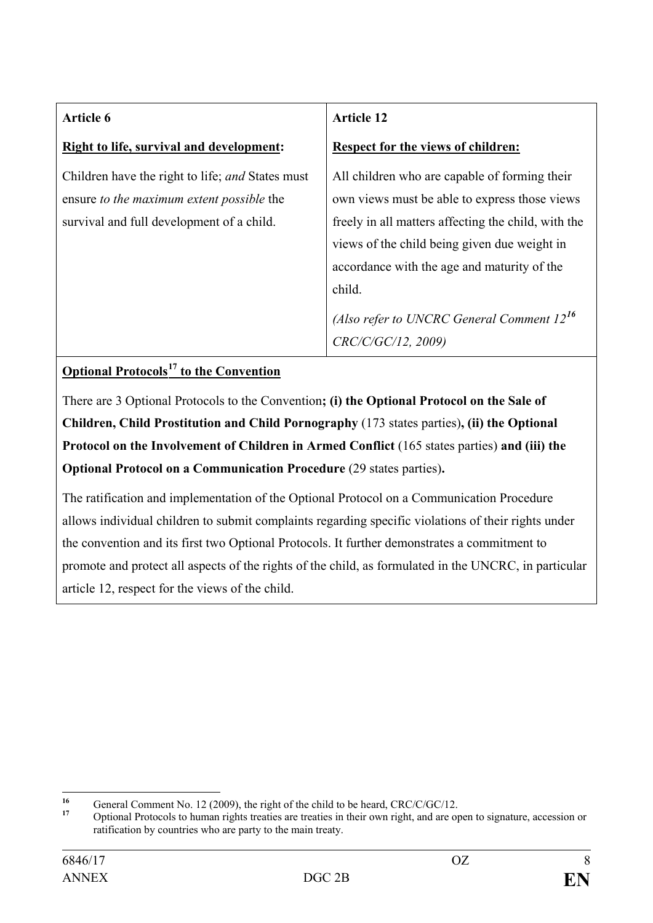| Article 6                                                                                                                                  | <b>Article 12</b>                                                                                                                                                                                                                                              |
|--------------------------------------------------------------------------------------------------------------------------------------------|----------------------------------------------------------------------------------------------------------------------------------------------------------------------------------------------------------------------------------------------------------------|
| <b>Right to life, survival and development:</b>                                                                                            | Respect for the views of children:                                                                                                                                                                                                                             |
| Children have the right to life; and States must<br>ensure to the maximum extent possible the<br>survival and full development of a child. | All children who are capable of forming their<br>own views must be able to express those views<br>freely in all matters affecting the child, with the<br>views of the child being given due weight in<br>accordance with the age and maturity of the<br>child. |
|                                                                                                                                            | (Also refer to UNCRC General Comment $12^{16}$<br>CRC/C/GC/12, 2009)                                                                                                                                                                                           |

## **Optional Protocols[17](#page-7-1) to the Convention**

There are 3 Optional Protocols to the Convention**; (i) the Optional Protocol on the Sale of Children, Child Prostitution and Child Pornography** (173 states parties)**, (ii) the Optional Protocol on the Involvement of Children in Armed Conflict** (165 states parties) **and (iii) the Optional Protocol on a Communication Procedure** (29 states parties)**.**

The ratification and implementation of the Optional Protocol on a Communication Procedure allows individual children to submit complaints regarding specific violations of their rights under the convention and its first two Optional Protocols. It further demonstrates a commitment to promote and protect all aspects of the rights of the child, as formulated in the UNCRC, in particular article 12, respect for the views of the child.

<span id="page-7-1"></span><span id="page-7-0"></span>

<sup>&</sup>lt;sup>16</sup> General Comment No. 12 (2009), the right of the child to be heard, CRC/C/GC/12.<br><sup>17</sup> Optional Protocols to human rights treaties are treaties in their own right, and are open to signature, accession or ratification by countries who are party to the main treaty.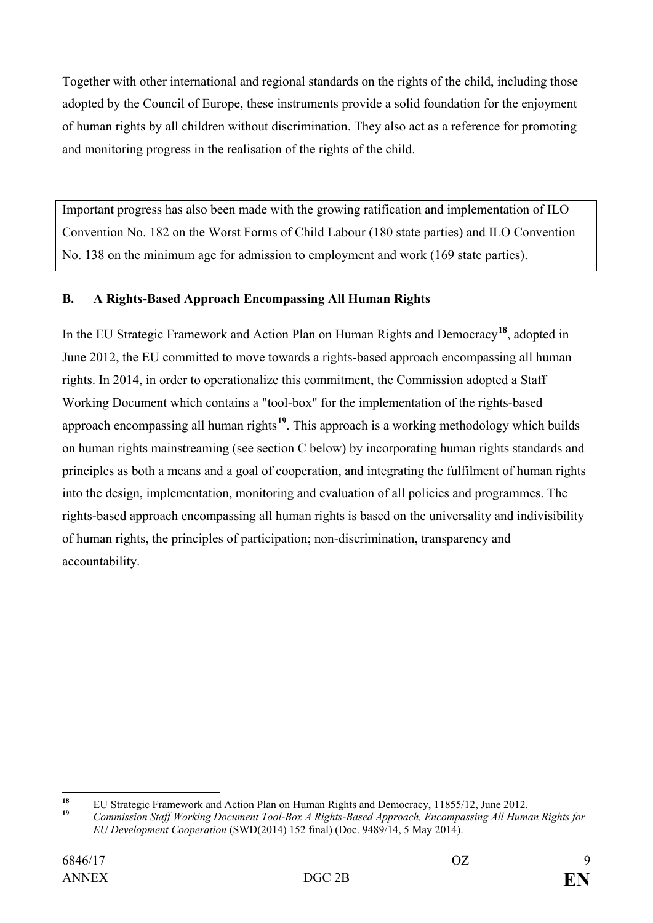Together with other international and regional standards on the rights of the child, including those adopted by the Council of Europe, these instruments provide a solid foundation for the enjoyment of human rights by all children without discrimination. They also act as a reference for promoting and monitoring progress in the realisation of the rights of the child.

Important progress has also been made with the growing ratification and implementation of ILO Convention No. 182 on the Worst Forms of Child Labour (180 state parties) and ILO Convention No. 138 on the minimum age for admission to employment and work (169 state parties).

## <span id="page-8-0"></span>**B. A Rights-Based Approach Encompassing All Human Rights**

In the EU Strategic Framework and Action Plan on Human Rights and Democracy**[18](#page-8-1)**, adopted in June 2012, the EU committed to move towards a rights-based approach encompassing all human rights. In 2014, in order to operationalize this commitment, the Commission adopted a Staff Working Document which contains a "tool-box" for the implementation of the rights-based approach encompassing all human rights**[19](#page-8-2)**. This approach is a working methodology which builds on human rights mainstreaming (see section C below) by incorporating human rights standards and principles as both a means and a goal of cooperation, and integrating the fulfilment of human rights into the design, implementation, monitoring and evaluation of all policies and programmes. The rights-based approach encompassing all human rights is based on the universality and indivisibility of human rights, the principles of participation; non-discrimination, transparency and accountability.

<span id="page-8-1"></span>**<sup>18</sup>** EU Strategic Framework and Action Plan on Human Rights and Democracy, 11855/12, June 2012. **<sup>19</sup>** *Commission Staff Working Document Tool-Box A Rights-Based Approach, Encompassing All Human Rights for* 

<span id="page-8-2"></span>*EU Development Cooperation* (SWD(2014) 152 final) (Doc. 9489/14, 5 May 2014).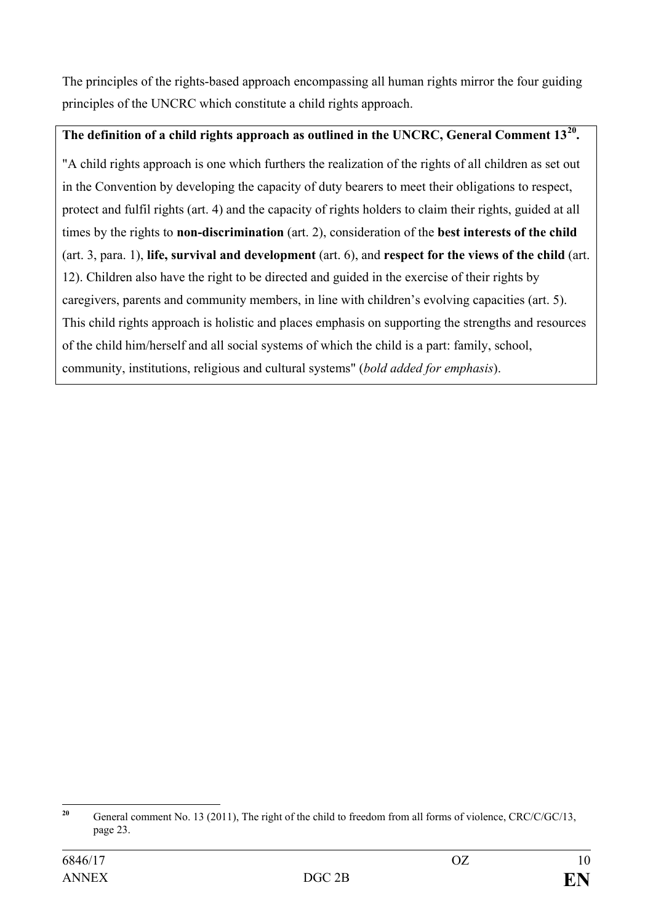The principles of the rights-based approach encompassing all human rights mirror the four guiding principles of the UNCRC which constitute a child rights approach.

## **The definition of a child rights approach as outlined in the UNCRC, General Comment 13[20.](#page-9-0)**

"A child rights approach is one which furthers the realization of the rights of all children as set out in the Convention by developing the capacity of duty bearers to meet their obligations to respect, protect and fulfil rights (art. 4) and the capacity of rights holders to claim their rights, guided at all times by the rights to **non-discrimination** (art. 2), consideration of the **best interests of the child** (art. 3, para. 1), **life, survival and development** (art. 6), and **respect for the views of the child** (art. 12). Children also have the right to be directed and guided in the exercise of their rights by caregivers, parents and community members, in line with children's evolving capacities (art. 5). This child rights approach is holistic and places emphasis on supporting the strengths and resources of the child him/herself and all social systems of which the child is a part: family, school, community, institutions, religious and cultural systems" (*bold added for emphasis*).

<span id="page-9-0"></span><sup>&</sup>lt;sup>20</sup> General comment No. 13 (2011), The right of the child to freedom from all forms of violence, CRC/C/GC/13, page 23.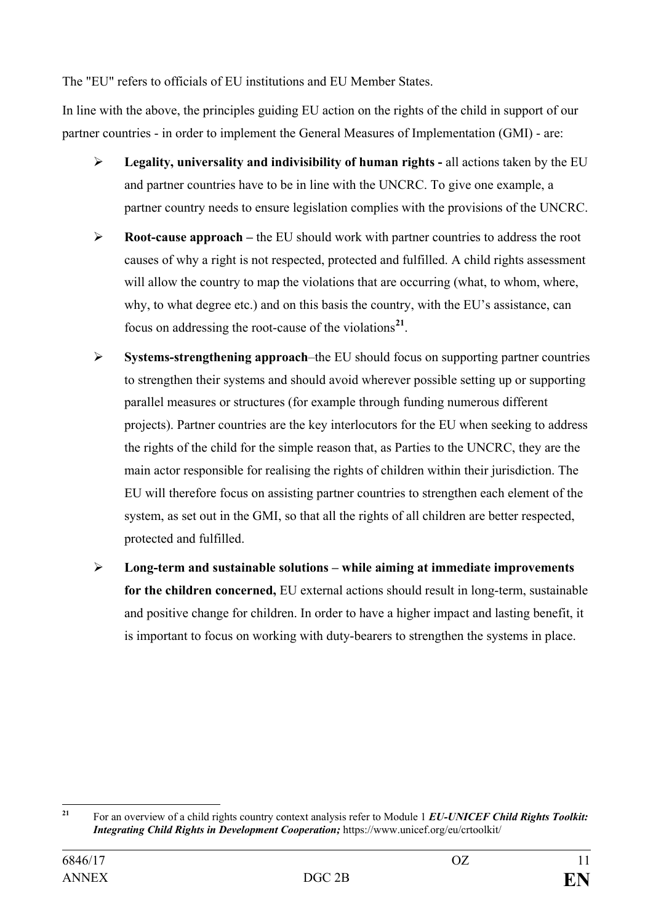The "EU" refers to officials of EU institutions and EU Member States.

In line with the above, the principles guiding EU action on the rights of the child in support of our partner countries - in order to implement the General Measures of Implementation (GMI) - are:

- **Legality, universality and indivisibility of human rights -** all actions taken by the EU and partner countries have to be in line with the UNCRC. To give one example, a partner country needs to ensure legislation complies with the provisions of the UNCRC.
- **Root-cause approach –** the EU should work with partner countries to address the root causes of why a right is not respected, protected and fulfilled. A child rights assessment will allow the country to map the violations that are occurring (what, to whom, where, why, to what degree etc.) and on this basis the country, with the EU's assistance, can focus on addressing the root-cause of the violations**[21](#page-10-0)**.
- **Systems-strengthening approach**–the EU should focus on supporting partner countries to strengthen their systems and should avoid wherever possible setting up or supporting parallel measures or structures (for example through funding numerous different projects). Partner countries are the key interlocutors for the EU when seeking to address the rights of the child for the simple reason that, as Parties to the UNCRC, they are the main actor responsible for realising the rights of children within their jurisdiction. The EU will therefore focus on assisting partner countries to strengthen each element of the system, as set out in the GMI, so that all the rights of all children are better respected, protected and fulfilled.
- **Long-term and sustainable solutions – while aiming at immediate improvements for the children concerned,** EU external actions should result in long-term, sustainable and positive change for children. In order to have a higher impact and lasting benefit, it is important to focus on working with duty-bearers to strengthen the systems in place.

<span id="page-10-0"></span>**<sup>21</sup>** For an overview of a child rights country context analysis refer to Module 1 *EU-UNICEF Child Rights Toolkit: Integrating Child Rights in Development Cooperation;* https://www.unicef.org/eu/crtoolkit/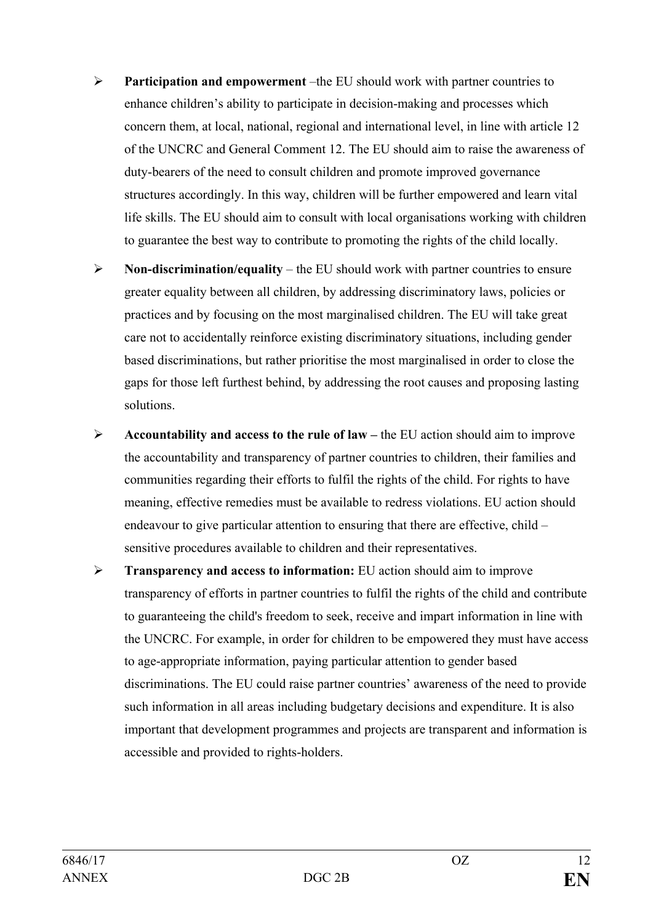- **Participation and empowerment** –the EU should work with partner countries to enhance children's ability to participate in decision-making and processes which concern them, at local, national, regional and international level, in line with article 12 of the UNCRC and General Comment 12. The EU should aim to raise the awareness of duty-bearers of the need to consult children and promote improved governance structures accordingly. In this way, children will be further empowered and learn vital life skills. The EU should aim to consult with local organisations working with children to guarantee the best way to contribute to promoting the rights of the child locally.
- **Non-discrimination/equality**  the EU should work with partner countries to ensure greater equality between all children, by addressing discriminatory laws, policies or practices and by focusing on the most marginalised children. The EU will take great care not to accidentally reinforce existing discriminatory situations, including gender based discriminations, but rather prioritise the most marginalised in order to close the gaps for those left furthest behind, by addressing the root causes and proposing lasting solutions.
- **Accountability and access to the rule of law –** the EU action should aim to improve the accountability and transparency of partner countries to children, their families and communities regarding their efforts to fulfil the rights of the child. For rights to have meaning, effective remedies must be available to redress violations. EU action should endeavour to give particular attention to ensuring that there are effective, child – sensitive procedures available to children and their representatives.
- **Transparency and access to information:** EU action should aim to improve transparency of efforts in partner countries to fulfil the rights of the child and contribute to guaranteeing the child's freedom to seek, receive and impart information in line with the UNCRC. For example, in order for children to be empowered they must have access to age-appropriate information, paying particular attention to gender based discriminations. The EU could raise partner countries' awareness of the need to provide such information in all areas including budgetary decisions and expenditure. It is also important that development programmes and projects are transparent and information is accessible and provided to rights-holders.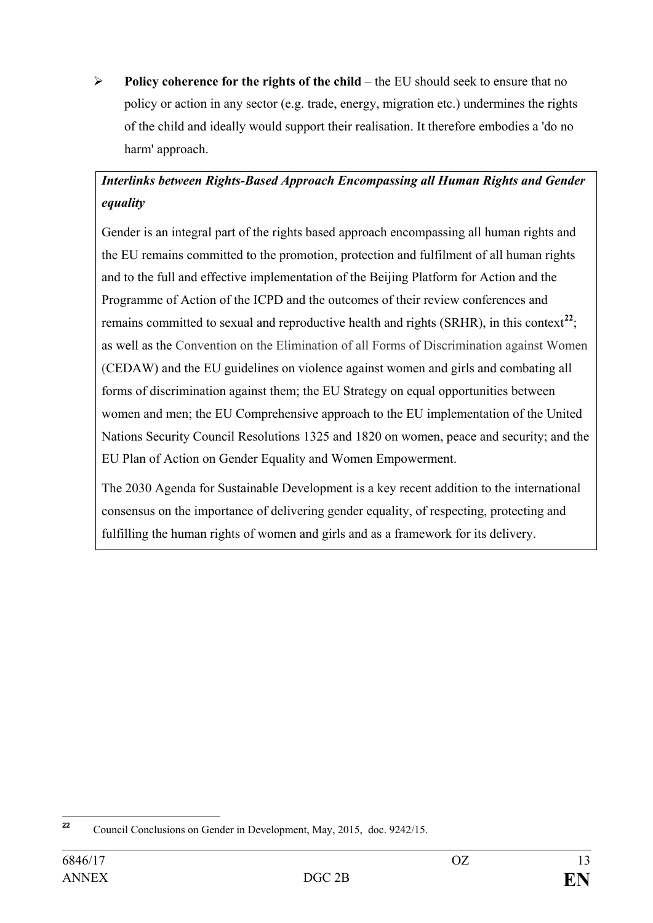**Policy coherence for the rights of the child** – the EU should seek to ensure that no policy or action in any sector (e.g. trade, energy, migration etc.) undermines the rights of the child and ideally would support their realisation. It therefore embodies a 'do no harm' approach.

# *Interlinks between Rights-Based Approach Encompassing all Human Rights and Gender equality*

Gender is an integral part of the rights based approach encompassing all human rights and the EU remains committed to the promotion, protection and fulfilment of all human rights and to the full and effective implementation of the Beijing Platform for Action and the Programme of Action of the ICPD and the outcomes of their review conferences and remains committed to sexual and reproductive health and rights (SRHR), in this context<sup>[22](#page-12-0)</sup>; as well as the Convention on the Elimination of all Forms of Discrimination against Women (CEDAW) and the EU guidelines on violence against women and girls and combating all forms of discrimination against them; the EU Strategy on equal opportunities between women and men; the EU Comprehensive approach to the EU implementation of the United Nations Security Council Resolutions 1325 and 1820 on women, peace and security; and the EU Plan of Action on Gender Equality and Women Empowerment.

The 2030 Agenda for Sustainable Development is a key recent addition to the international consensus on the importance of delivering gender equality, of respecting, protecting and fulfilling the human rights of women and girls and as a framework for its delivery.

<span id="page-12-0"></span>**<sup>22</sup>** Council Conclusions on Gender in Development, May, 2015, doc. 9242/15.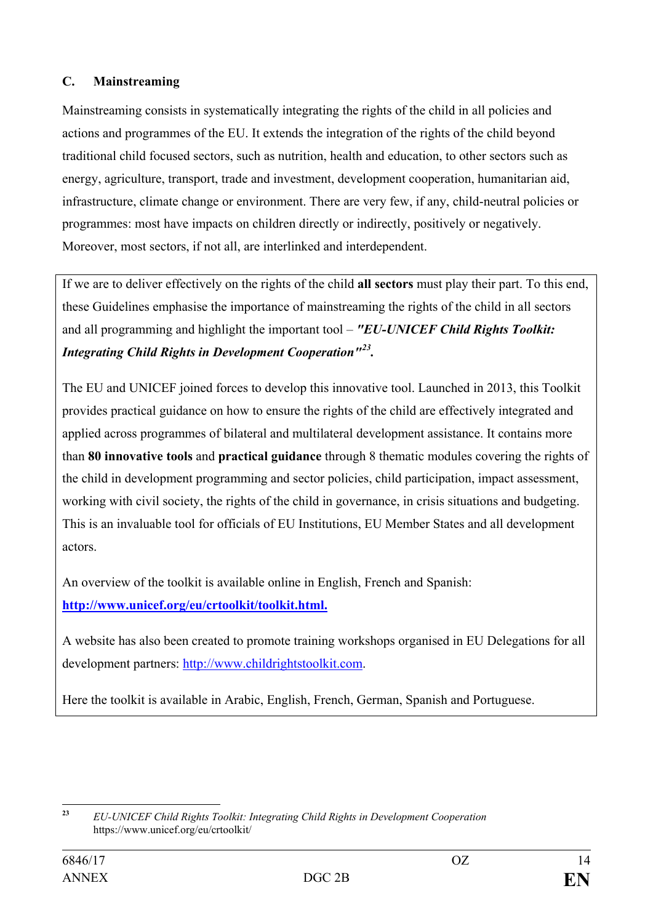## <span id="page-13-0"></span>**C. Mainstreaming**

Mainstreaming consists in systematically integrating the rights of the child in all policies and actions and programmes of the EU. It extends the integration of the rights of the child beyond traditional child focused sectors, such as nutrition, health and education, to other sectors such as energy, agriculture, transport, trade and investment, development cooperation, humanitarian aid, infrastructure, climate change or environment. There are very few, if any, child-neutral policies or programmes: most have impacts on children directly or indirectly, positively or negatively. Moreover, most sectors, if not all, are interlinked and interdependent.

If we are to deliver effectively on the rights of the child **all sectors** must play their part. To this end, these Guidelines emphasise the importance of mainstreaming the rights of the child in all sectors and all programming and highlight the important tool – *"EU-UNICEF Child Rights Toolkit: Integrating Child Rights in Development Cooperation"[23](#page-13-1).*

The EU and UNICEF joined forces to develop this innovative tool. Launched in 2013, this Toolkit provides practical guidance on how to ensure the rights of the child are effectively integrated and applied across programmes of bilateral and multilateral development assistance. It contains more than **80 innovative tools** and **practical guidance** through 8 thematic modules covering the rights of the child in development programming and sector policies, child participation, impact assessment, working with civil society, the rights of the child in governance, in crisis situations and budgeting. This is an invaluable tool for officials of EU Institutions, EU Member States and all development actors.

An overview of the toolkit is available online in English, French and Spanish: **[http://www.unicef.org/eu/crtoolkit/toolkit.html.](http://www.unicef.org/eu/crtoolkit/toolkit.html)**

A website has also been created to promote training workshops organised in EU Delegations for all development partners: [http://www.childrightstoolkit.com.](http://www.childrightstoolkit.com/)

Here the toolkit is available in Arabic, English, French, German, Spanish and Portuguese.

<span id="page-13-1"></span>**<sup>23</sup>** *EU-UNICEF Child Rights Toolkit: Integrating Child Rights in Development Cooperation* https://www.unicef.org/eu/crtoolkit/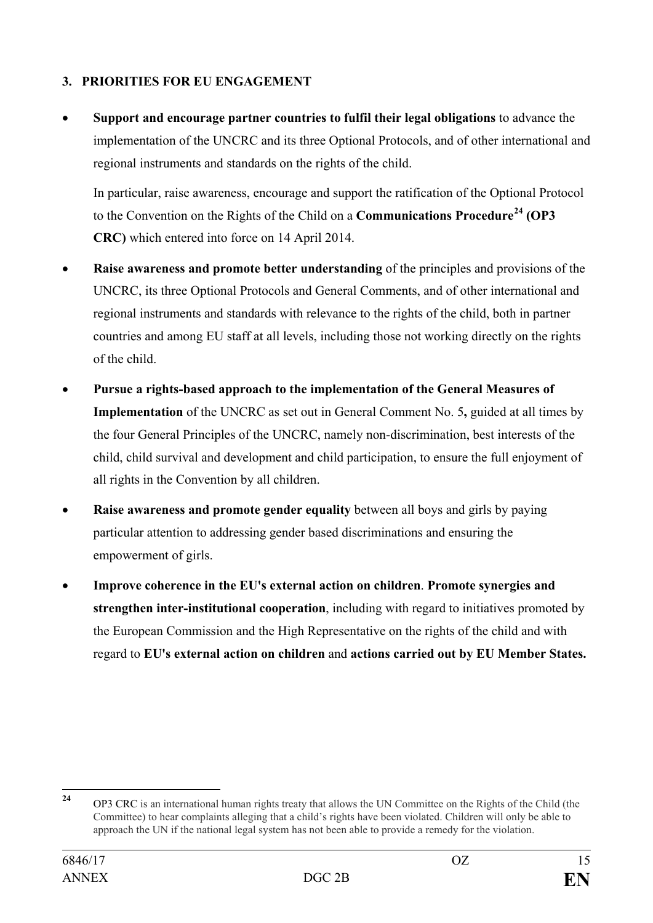## <span id="page-14-0"></span>**3. PRIORITIES FOR EU ENGAGEMENT**

• **Support and encourage partner countries to fulfil their legal obligations** to advance the implementation of the UNCRC and its three Optional Protocols, and of other international and regional instruments and standards on the rights of the child.

In particular, raise awareness, encourage and support the ratification of the Optional Protocol to the Convention on the Rights of the Child on a **Communications Procedure[24](#page-14-1) (OP3 CRC)** which entered into force on 14 April 2014.

- **Raise awareness and promote better understanding** of the principles and provisions of the UNCRC, its three Optional Protocols and General Comments, and of other international and regional instruments and standards with relevance to the rights of the child, both in partner countries and among EU staff at all levels, including those not working directly on the rights of the child.
- **Pursue a rights-based approach to the implementation of the General Measures of Implementation** of the UNCRC as set out in General Comment No. 5**,** guided at all times by the four General Principles of the UNCRC, namely non-discrimination, best interests of the child, child survival and development and child participation, to ensure the full enjoyment of all rights in the Convention by all children.
- **Raise awareness and promote gender equality** between all boys and girls by paying particular attention to addressing gender based discriminations and ensuring the empowerment of girls.
- **Improve coherence in the EU's external action on children**. **Promote synergies and strengthen inter-institutional cooperation**, including with regard to initiatives promoted by the European Commission and the High Representative on the rights of the child and with regard to **EU's external action on children** and **actions carried out by EU Member States.**

<span id="page-14-1"></span>**<sup>24</sup>** OP3 CRC is an international human rights treaty that allows the UN Committee on the Rights of the Child (the Committee) to hear complaints alleging that a child's rights have been violated. Children will only be able to approach the UN if the national legal system has not been able to provide a remedy for the violation.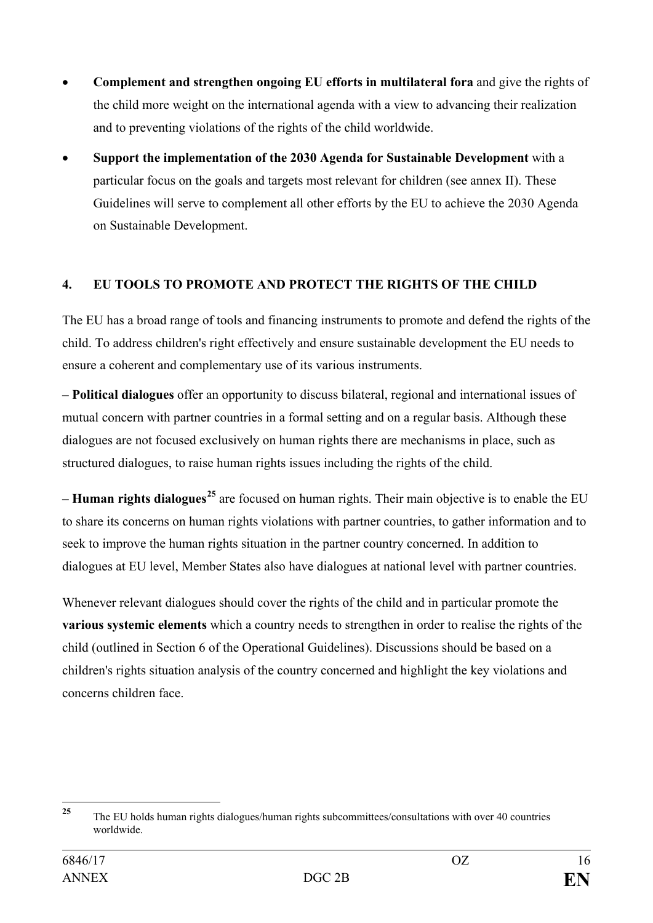- **Complement and strengthen ongoing EU efforts in multilateral fora** and give the rights of the child more weight on the international agenda with a view to advancing their realization and to preventing violations of the rights of the child worldwide.
- **Support the implementation of the 2030 Agenda for Sustainable Development** with a particular focus on the goals and targets most relevant for children (see annex II). These Guidelines will serve to complement all other efforts by the EU to achieve the 2030 Agenda on Sustainable Development.

## <span id="page-15-0"></span>**4. EU TOOLS TO PROMOTE AND PROTECT THE RIGHTS OF THE CHILD**

The EU has a broad range of tools and financing instruments to promote and defend the rights of the child. To address children's right effectively and ensure sustainable development the EU needs to ensure a coherent and complementary use of its various instruments.

**– Political dialogues** offer an opportunity to discuss bilateral, regional and international issues of mutual concern with partner countries in a formal setting and on a regular basis. Although these dialogues are not focused exclusively on human rights there are mechanisms in place, such as structured dialogues, to raise human rights issues including the rights of the child.

**– Human rights dialogues[25](#page-15-1)** are focused on human rights. Their main objective is to enable the EU to share its concerns on human rights violations with partner countries, to gather information and to seek to improve the human rights situation in the partner country concerned. In addition to dialogues at EU level, Member States also have dialogues at national level with partner countries.

Whenever relevant dialogues should cover the rights of the child and in particular promote the **various systemic elements** which a country needs to strengthen in order to realise the rights of the child (outlined in Section 6 of the Operational Guidelines). Discussions should be based on a children's rights situation analysis of the country concerned and highlight the key violations and concerns children face.

<span id="page-15-1"></span>**<sup>25</sup>** The EU holds human rights dialogues/human rights subcommittees/consultations with over <sup>40</sup> countries worldwide.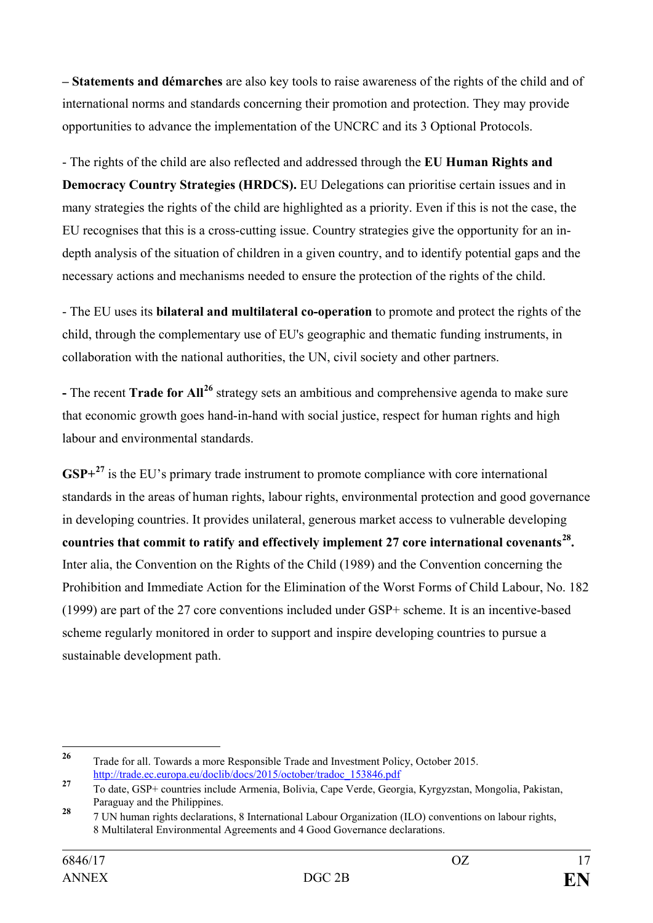**– Statements and démarches** are also key tools to raise awareness of the rights of the child and of international norms and standards concerning their promotion and protection. They may provide opportunities to advance the implementation of the UNCRC and its 3 Optional Protocols.

- The rights of the child are also reflected and addressed through the **EU Human Rights and Democracy Country Strategies (HRDCS).** EU Delegations can prioritise certain issues and in many strategies the rights of the child are highlighted as a priority. Even if this is not the case, the EU recognises that this is a cross-cutting issue. Country strategies give the opportunity for an indepth analysis of the situation of children in a given country, and to identify potential gaps and the necessary actions and mechanisms needed to ensure the protection of the rights of the child.

- The EU uses its **bilateral and multilateral co-operation** to promote and protect the rights of the child, through the complementary use of EU's geographic and thematic funding instruments, in collaboration with the national authorities, the UN, civil society and other partners.

**-** The recent **Trade for All[26](#page-16-0)** strategy sets an ambitious and comprehensive agenda to make sure that economic growth goes hand-in-hand with social justice, respect for human rights and high labour and environmental standards.

**GSP+[27](#page-16-1)** is the EU's primary trade instrument to promote compliance with core international standards in the areas of human rights, labour rights, environmental protection and good governance in developing countries. It provides unilateral, generous market access to vulnerable developing **countries that commit to ratify and effectively implement 27 core international covenants[28.](#page-16-2)**  Inter alia, the Convention on the Rights of the Child (1989) and the Convention concerning the Prohibition and Immediate Action for the Elimination of the Worst Forms of Child Labour, No. 182 (1999) are part of the 27 core conventions included under GSP+ scheme. It is an incentive-based scheme regularly monitored in order to support and inspire developing countries to pursue a sustainable development path.

<span id="page-16-0"></span>**<sup>26</sup>** Trade for all. Towards a more Responsible Trade and Investment Policy, October 2015. [http://trade.ec.europa.eu/doclib/docs/2015/october/tradoc\\_153846.pdf](http://trade.ec.europa.eu/doclib/docs/2015/october/tradoc_153846.pdf)

<span id="page-16-1"></span>**<sup>27</sup>** To date, GSP+ countries include Armenia, Bolivia, Cape Verde, Georgia, Kyrgyzstan, Mongolia, Pakistan, Paraguay and the Philippines.

<span id="page-16-2"></span>**<sup>28</sup>** 7 UN human rights declarations, 8 International Labour Organization (ILO) conventions on labour rights, 8 Multilateral Environmental Agreements and 4 Good Governance declarations.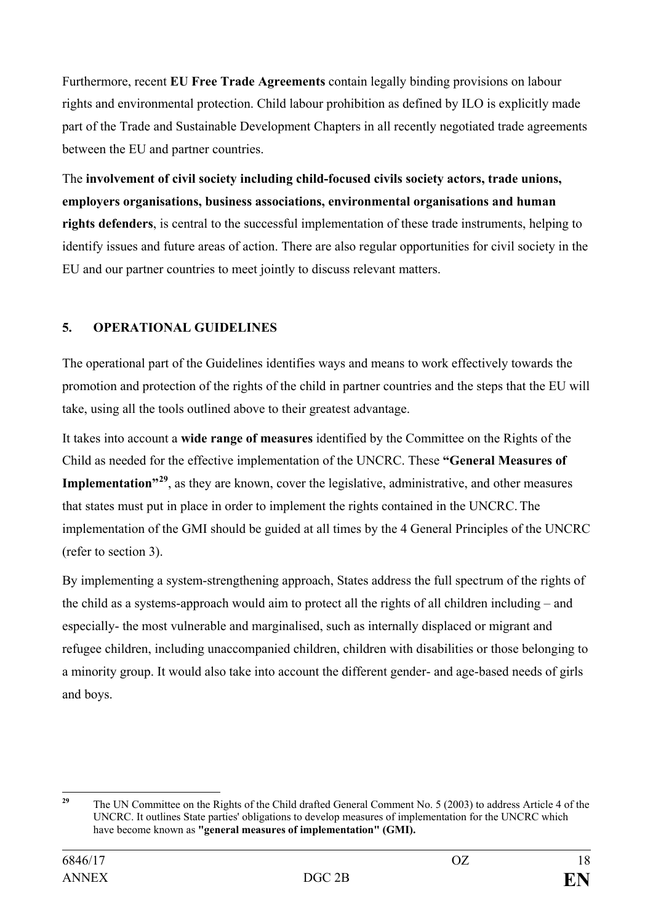Furthermore, recent **EU Free Trade Agreements** contain legally binding provisions on labour rights and environmental protection. Child labour prohibition as defined by ILO is explicitly made part of the Trade and Sustainable Development Chapters in all recently negotiated trade agreements between the EU and partner countries.

The **involvement of civil society including child-focused civils society actors, trade unions, employers organisations, business associations, environmental organisations and human rights defenders**, is central to the successful implementation of these trade instruments, helping to identify issues and future areas of action. There are also regular opportunities for civil society in the EU and our partner countries to meet jointly to discuss relevant matters.

## <span id="page-17-0"></span>**5. OPERATIONAL GUIDELINES**

The operational part of the Guidelines identifies ways and means to work effectively towards the promotion and protection of the rights of the child in partner countries and the steps that the EU will take, using all the tools outlined above to their greatest advantage.

It takes into account a **wide range of measures** identified by the Committee on the Rights of the Child as needed for the effective implementation of the UNCRC. These **"General Measures of Implementation"[29](#page-17-1)**, as they are known, cover the legislative, administrative, and other measures that states must put in place in order to implement the rights contained in the UNCRC. The implementation of the GMI should be guided at all times by the 4 General Principles of the UNCRC (refer to section 3).

By implementing a system-strengthening approach, States address the full spectrum of the rights of the child as a systems-approach would aim to protect all the rights of all children including – and especially- the most vulnerable and marginalised, such as internally displaced or migrant and refugee children, including unaccompanied children, children with disabilities or those belonging to a minority group. It would also take into account the different gender- and age-based needs of girls and boys.

<span id="page-17-1"></span><sup>&</sup>lt;sup>29</sup> The UN Committee on the Rights of the Child drafted General Comment No. 5 (2003) to address Article 4 of the UNCRC. It outlines State parties' obligations to develop measures of implementation for the UNCRC which have become known as **"general measures of implementation" (GMI).**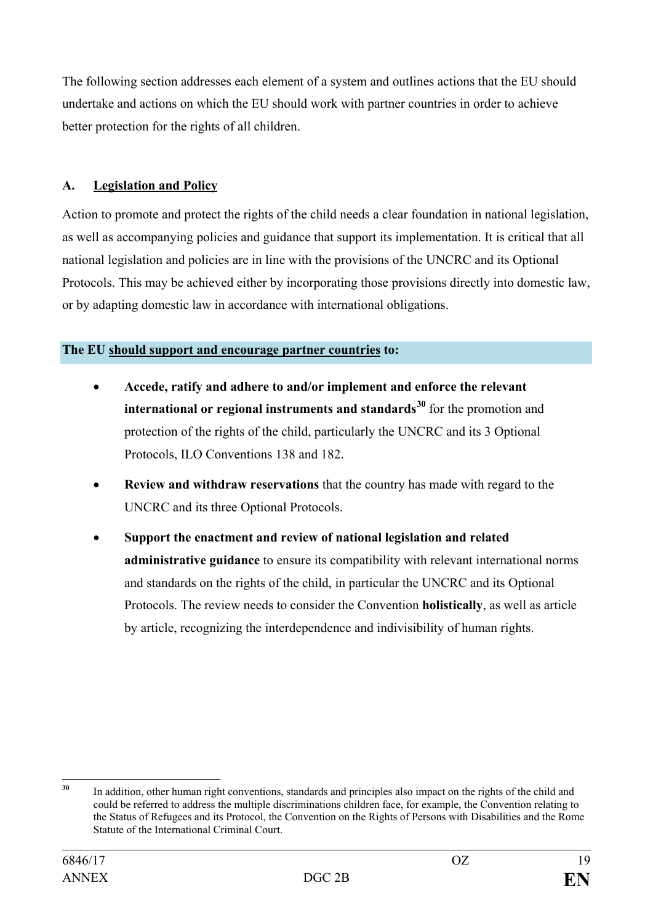The following section addresses each element of a system and outlines actions that the EU should undertake and actions on which the EU should work with partner countries in order to achieve better protection for the rights of all children.

## **A. Legislation and Policy**

Action to promote and protect the rights of the child needs a clear foundation in national legislation, as well as accompanying policies and guidance that support its implementation. It is critical that all national legislation and policies are in line with the provisions of the UNCRC and its Optional Protocols. This may be achieved either by incorporating those provisions directly into domestic law, or by adapting domestic law in accordance with international obligations.

#### **The EU should support and encourage partner countries to:**

- **Accede, ratify and adhere to and/or implement and enforce the relevant international or regional instruments and standards[30](#page-18-0)** for the promotion and protection of the rights of the child, particularly the UNCRC and its 3 Optional Protocols, ILO Conventions 138 and 182.
- **Review and withdraw reservations** that the country has made with regard to the UNCRC and its three Optional Protocols.
- **Support the enactment and review of national legislation and related administrative guidance** to ensure its compatibility with relevant international norms and standards on the rights of the child, in particular the UNCRC and its Optional Protocols. The review needs to consider the Convention **holistically**, as well as article by article, recognizing the interdependence and indivisibility of human rights.

<span id="page-18-0"></span>**<sup>30</sup>** In addition, other human right conventions, standards and principles also impact on the rights of the child and could be referred to address the multiple discriminations children face, for example, the Convention relating to the Status of Refugees and its Protocol, the Convention on the Rights of Persons with Disabilities and the Rome Statute of the International Criminal Court.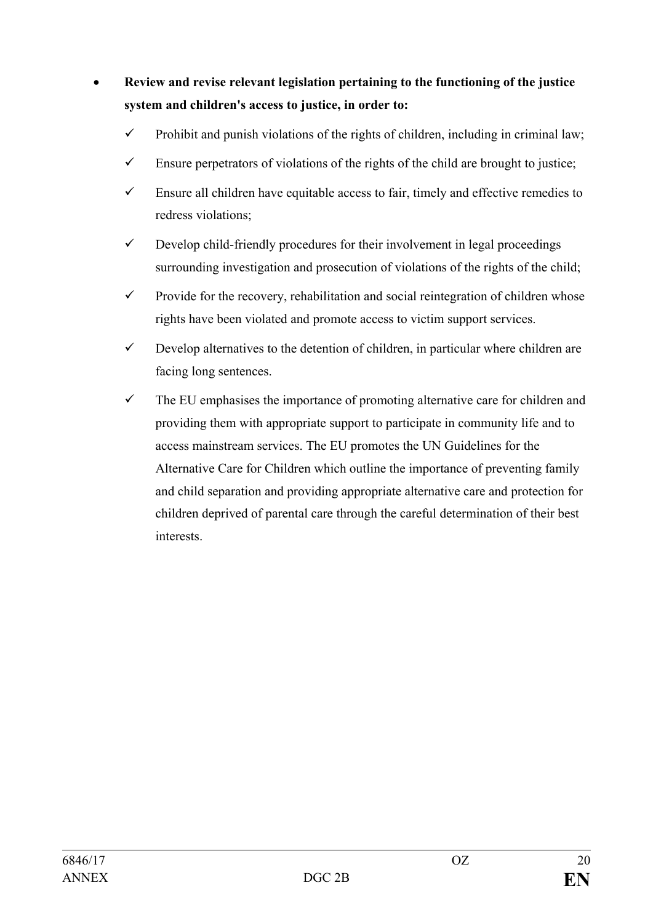# • **Review and revise relevant legislation pertaining to the functioning of the justice system and children's access to justice, in order to:**

- $\checkmark$  Prohibit and punish violations of the rights of children, including in criminal law;
- $\checkmark$  Ensure perpetrators of violations of the rights of the child are brought to justice;
- $\checkmark$  Ensure all children have equitable access to fair, timely and effective remedies to redress violations;
- $\checkmark$  Develop child-friendly procedures for their involvement in legal proceedings surrounding investigation and prosecution of violations of the rights of the child;
- $\checkmark$  Provide for the recovery, rehabilitation and social reintegration of children whose rights have been violated and promote access to victim support services.
- $\checkmark$  Develop alternatives to the detention of children, in particular where children are facing long sentences.
- $\checkmark$  The EU emphasises the importance of promoting alternative care for children and providing them with appropriate support to participate in community life and to access mainstream services. The EU promotes the UN Guidelines for the Alternative Care for Children which outline the importance of preventing family and child separation and providing appropriate alternative care and protection for children deprived of parental care through the careful determination of their best interests.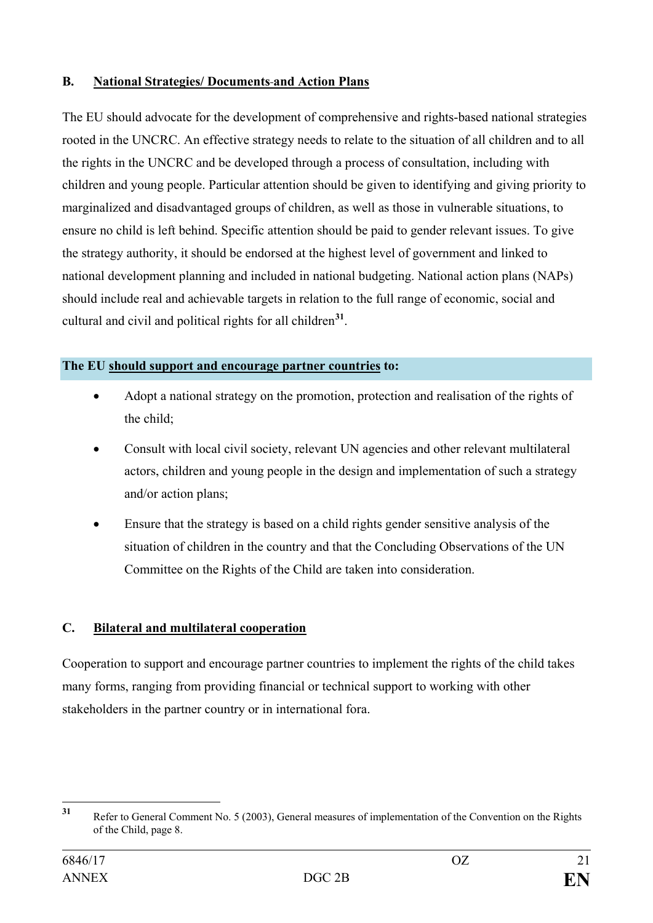## **B. National Strategies/ Documents and Action Plans**

The EU should advocate for the development of comprehensive and rights-based national strategies rooted in the UNCRC. An effective strategy needs to relate to the situation of all children and to all the rights in the UNCRC and be developed through a process of consultation, including with children and young people. Particular attention should be given to identifying and giving priority to marginalized and disadvantaged groups of children, as well as those in vulnerable situations, to ensure no child is left behind. Specific attention should be paid to gender relevant issues. To give the strategy authority, it should be endorsed at the highest level of government and linked to national development planning and included in national budgeting. National action plans (NAPs) should include real and achievable targets in relation to the full range of economic, social and cultural and civil and political rights for all children**[31](#page-20-0)**.

## **The EU should support and encourage partner countries to:**

- Adopt a national strategy on the promotion, protection and realisation of the rights of the child;
- Consult with local civil society, relevant UN agencies and other relevant multilateral actors, children and young people in the design and implementation of such a strategy and/or action plans;
- Ensure that the strategy is based on a child rights gender sensitive analysis of the situation of children in the country and that the Concluding Observations of the UN Committee on the Rights of the Child are taken into consideration.

## **C. Bilateral and multilateral cooperation**

Cooperation to support and encourage partner countries to implement the rights of the child takes many forms, ranging from providing financial or technical support to working with other stakeholders in the partner country or in international fora.

<span id="page-20-0"></span>**<sup>31</sup>** Refer to General Comment No. 5 (2003), General measures of implementation of the Convention on the Rights of the Child, page 8.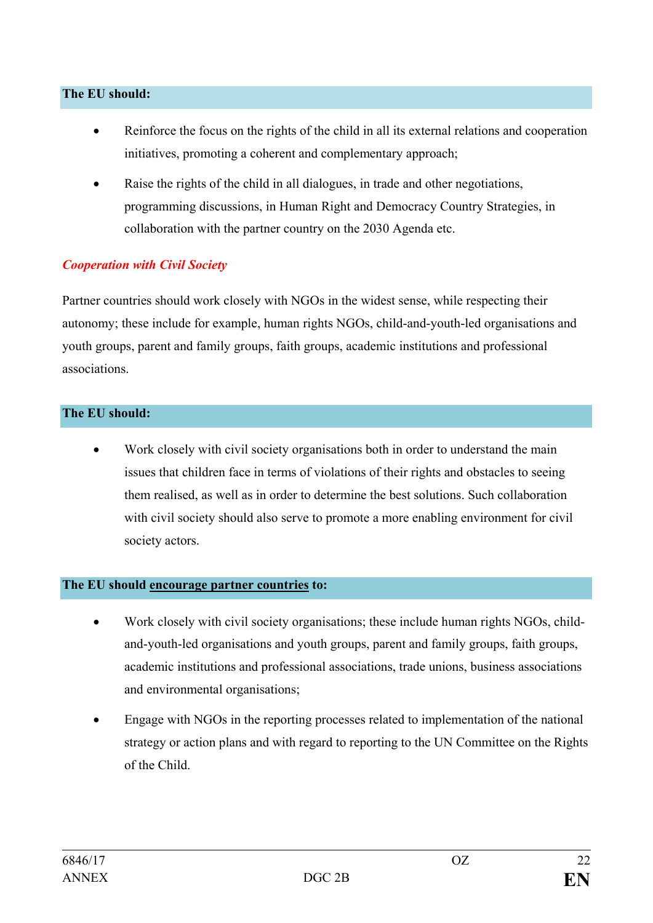#### **The EU should:**

- Reinforce the focus on the rights of the child in all its external relations and cooperation initiatives, promoting a coherent and complementary approach;
- Raise the rights of the child in all dialogues, in trade and other negotiations, programming discussions, in Human Right and Democracy Country Strategies, in collaboration with the partner country on the 2030 Agenda etc.

## *Cooperation with Civil Society*

Partner countries should work closely with NGOs in the widest sense, while respecting their autonomy; these include for example, human rights NGOs, child-and-youth-led organisations and youth groups, parent and family groups, faith groups, academic institutions and professional associations.

#### **The EU should:**

Work closely with civil society organisations both in order to understand the main issues that children face in terms of violations of their rights and obstacles to seeing them realised, as well as in order to determine the best solutions. Such collaboration with civil society should also serve to promote a more enabling environment for civil society actors.

#### **The EU should encourage partner countries to:**

- Work closely with civil society organisations; these include human rights NGOs, childand-youth-led organisations and youth groups, parent and family groups, faith groups, academic institutions and professional associations, trade unions, business associations and environmental organisations;
- Engage with NGOs in the reporting processes related to implementation of the national strategy or action plans and with regard to reporting to the UN Committee on the Rights of the Child.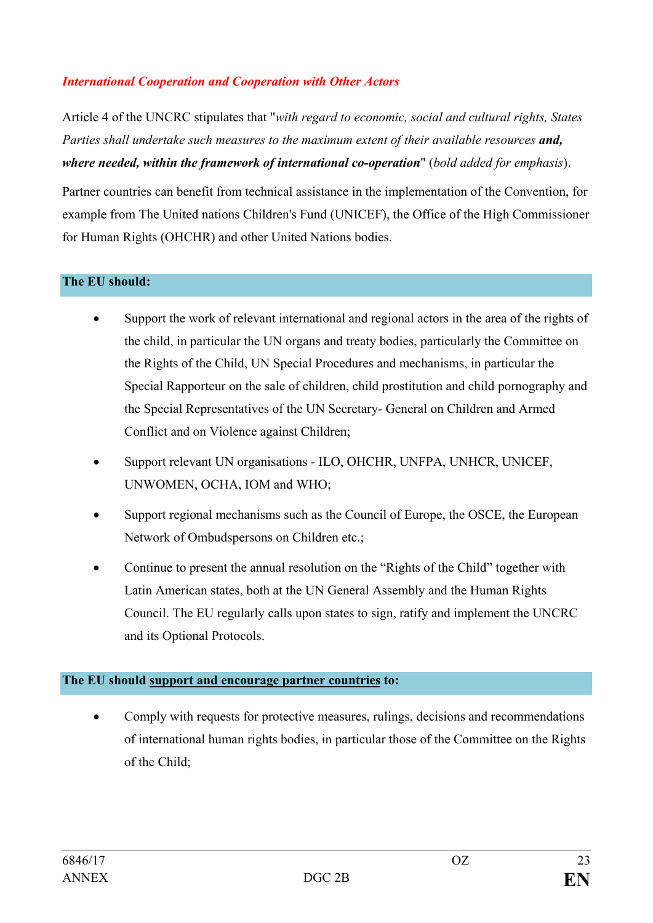## *International Cooperation and Cooperation with Other Actors*

Article 4 of the UNCRC stipulates that "*with regard to economic, social and cultural rights, States Parties shall undertake such measures to the maximum extent of their available resources and, where needed, within the framework of international co-operation*" (*bold added for emphasis*).

Partner countries can benefit from technical assistance in the implementation of the Convention, for example from The United nations Children's Fund (UNICEF), the Office of the High Commissioner for Human Rights (OHCHR) and other United Nations bodies.

#### **The EU should:**

- Support the work of relevant international and regional actors in the area of the rights of the child, in particular the UN organs and treaty bodies, particularly the Committee on the Rights of the Child, UN Special Procedures and mechanisms, in particular the Special Rapporteur on the sale of children, child prostitution and child pornography and the Special Representatives of the UN Secretary- General on Children and Armed Conflict and on Violence against Children;
- Support relevant UN organisations ILO, OHCHR, UNFPA, UNHCR, UNICEF, UNWOMEN, OCHA, IOM and WHO;
- Support regional mechanisms such as the Council of Europe, the OSCE, the European Network of Ombudspersons on Children etc.;
- Continue to present the annual resolution on the "Rights of the Child" together with Latin American states, both at the UN General Assembly and the Human Rights Council. The EU regularly calls upon states to sign, ratify and implement the UNCRC and its Optional Protocols.

#### **The EU should support and encourage partner countries to:**

• Comply with requests for protective measures, rulings, decisions and recommendations of international human rights bodies, in particular those of the Committee on the Rights of the Child;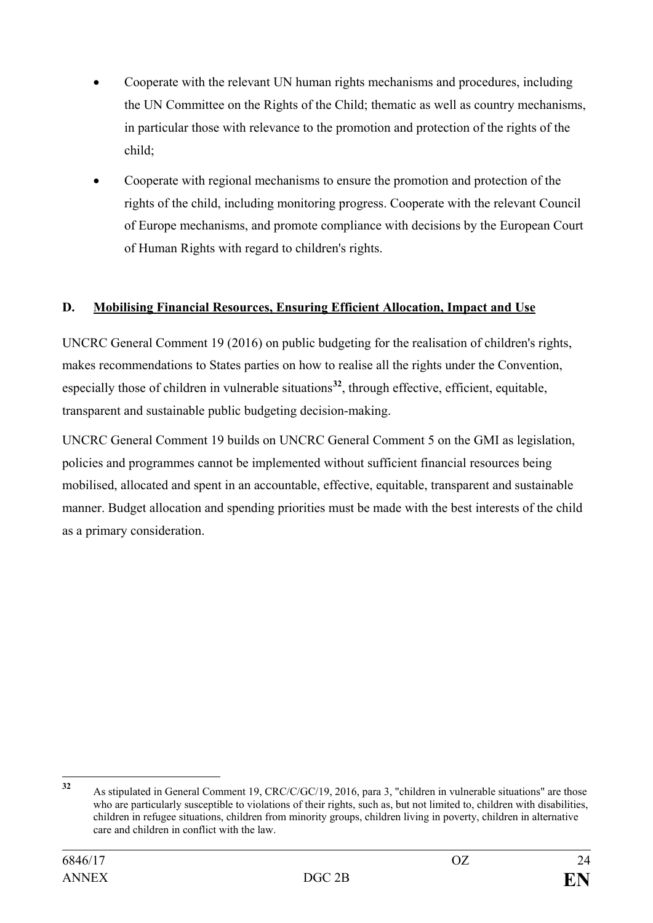- Cooperate with the relevant UN human rights mechanisms and procedures, including the UN Committee on the Rights of the Child; thematic as well as country mechanisms, in particular those with relevance to the promotion and protection of the rights of the child;
- Cooperate with regional mechanisms to ensure the promotion and protection of the rights of the child, including monitoring progress. Cooperate with the relevant Council of Europe mechanisms, and promote compliance with decisions by the European Court of Human Rights with regard to children's rights.

## **D. Mobilising Financial Resources, Ensuring Efficient Allocation, Impact and Use**

UNCRC General Comment 19 (2016) on public budgeting for the realisation of children's rights, makes recommendations to States parties on how to realise all the rights under the Convention, especially those of children in vulnerable situations<sup>[32](#page-23-0)</sup>, through effective, efficient, equitable, transparent and sustainable public budgeting decision-making.

UNCRC General Comment 19 builds on UNCRC General Comment 5 on the GMI as legislation, policies and programmes cannot be implemented without sufficient financial resources being mobilised, allocated and spent in an accountable, effective, equitable, transparent and sustainable manner. Budget allocation and spending priorities must be made with the best interests of the child as a primary consideration.

<span id="page-23-0"></span>**<sup>32</sup>** As stipulated in General Comment 19, CRC/C/GC/19, 2016, para 3, "children in vulnerable situations" are those who are particularly susceptible to violations of their rights, such as, but not limited to, children with disabilities, children in refugee situations, children from minority groups, children living in poverty, children in alternative care and children in conflict with the law.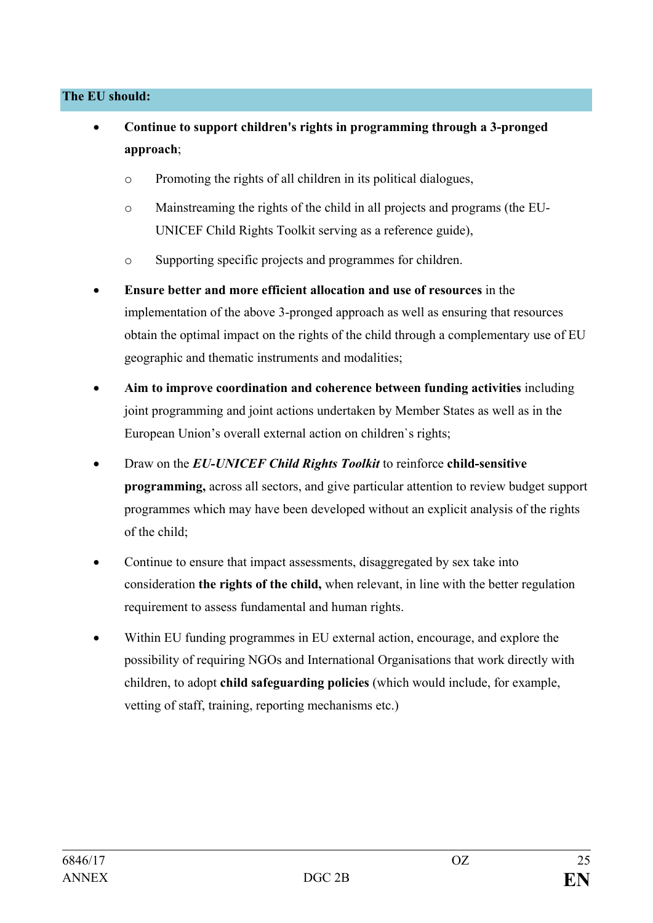#### **The EU should:**

- **Continue to support children's rights in programming through a 3-pronged approach**;
	- o Promoting the rights of all children in its political dialogues,
	- o Mainstreaming the rights of the child in all projects and programs (the EU-UNICEF Child Rights Toolkit serving as a reference guide),
	- o Supporting specific projects and programmes for children.
- **Ensure better and more efficient allocation and use of resources** in the implementation of the above 3-pronged approach as well as ensuring that resources obtain the optimal impact on the rights of the child through a complementary use of EU geographic and thematic instruments and modalities;
- **Aim to improve coordination and coherence between funding activities** including joint programming and joint actions undertaken by Member States as well as in the European Union's overall external action on children`s rights;
- Draw on the *EU-UNICEF Child Rights Toolkit* to reinforce **child-sensitive programming,** across all sectors, and give particular attention to review budget support programmes which may have been developed without an explicit analysis of the rights of the child;
- Continue to ensure that impact assessments, disaggregated by sex take into consideration **the rights of the child,** when relevant, in line with the better regulation requirement to assess fundamental and human rights.
- Within EU funding programmes in EU external action, encourage, and explore the possibility of requiring NGOs and International Organisations that work directly with children, to adopt **child safeguarding policies** (which would include, for example, vetting of staff, training, reporting mechanisms etc.)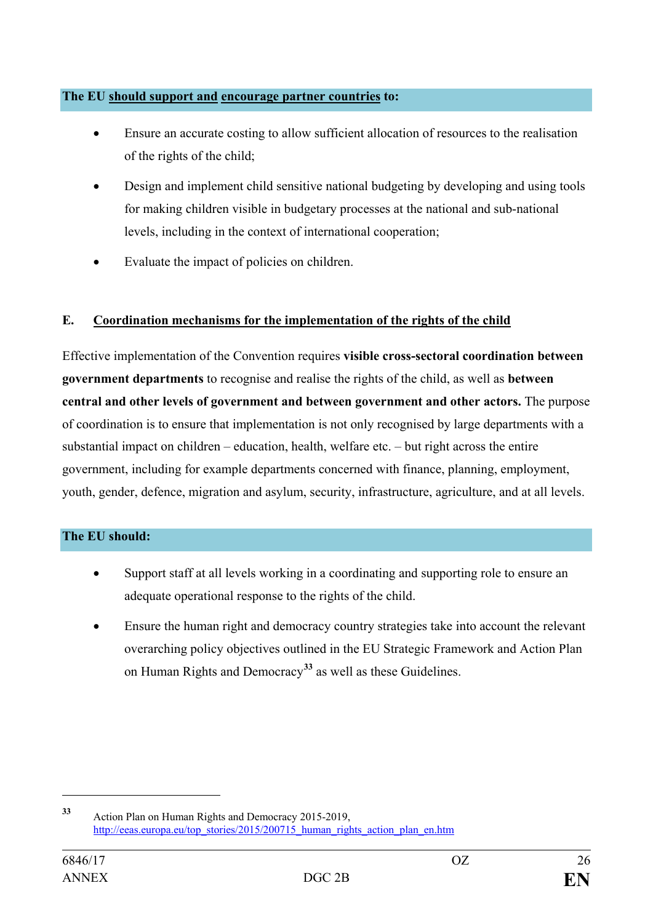#### **The EU should support and encourage partner countries to:**

- Ensure an accurate costing to allow sufficient allocation of resources to the realisation of the rights of the child;
- Design and implement child sensitive national budgeting by developing and using tools for making children visible in budgetary processes at the national and sub-national levels, including in the context of international cooperation;
- Evaluate the impact of policies on children.

## **E. Coordination mechanisms for the implementation of the rights of the child**

Effective implementation of the Convention requires **visible cross-sectoral coordination between government departments** to recognise and realise the rights of the child, as well as **between central and other levels of government and between government and other actors.** The purpose of coordination is to ensure that implementation is not only recognised by large departments with a substantial impact on children – education, health, welfare etc. – but right across the entire government, including for example departments concerned with finance, planning, employment, youth, gender, defence, migration and asylum, security, infrastructure, agriculture, and at all levels.

#### **The EU should:**

- Support staff at all levels working in a coordinating and supporting role to ensure an adequate operational response to the rights of the child.
- Ensure the human right and democracy country strategies take into account the relevant overarching policy objectives outlined in the EU Strategic Framework and Action Plan on Human Rights and Democracy**[33](#page-25-0)** as well as these Guidelines.

 $\overline{a}$ 

<span id="page-25-0"></span>**<sup>33</sup>** Action Plan on Human Rights and Democracy 2015-2019, [http://eeas.europa.eu/top\\_stories/2015/200715\\_human\\_rights\\_action\\_plan\\_en.htm](http://eeas.europa.eu/top_stories/2015/200715_human_rights_action_plan_en.htm)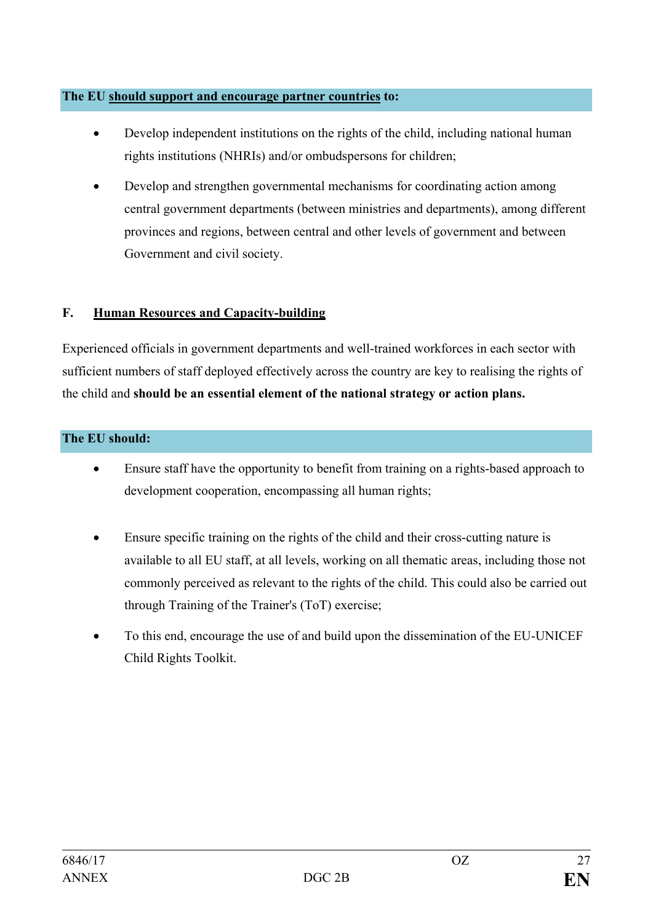#### **The EU should support and encourage partner countries to:**

- Develop independent institutions on the rights of the child, including national human rights institutions (NHRIs) and/or ombudspersons for children;
- Develop and strengthen governmental mechanisms for coordinating action among central government departments (between ministries and departments), among different provinces and regions, between central and other levels of government and between Government and civil society.

## **F. Human Resources and Capacity-building**

Experienced officials in government departments and well-trained workforces in each sector with sufficient numbers of staff deployed effectively across the country are key to realising the rights of the child and **should be an essential element of the national strategy or action plans.** 

## **The EU should:**

- Ensure staff have the opportunity to benefit from training on a rights-based approach to development cooperation, encompassing all human rights;
- Ensure specific training on the rights of the child and their cross-cutting nature is available to all EU staff, at all levels, working on all thematic areas, including those not commonly perceived as relevant to the rights of the child. This could also be carried out through Training of the Trainer's (ToT) exercise;
- To this end, encourage the use of and build upon the dissemination of the EU-UNICEF Child Rights Toolkit.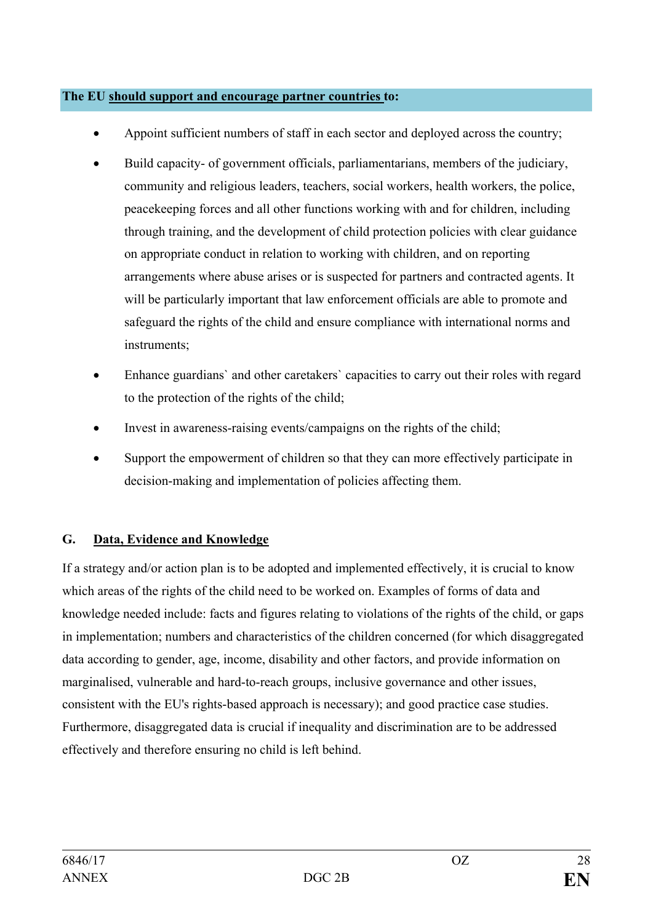#### **The EU should support and encourage partner countries to:**

- Appoint sufficient numbers of staff in each sector and deployed across the country;
- Build capacity- of government officials, parliamentarians, members of the judiciary, community and religious leaders, teachers, social workers, health workers, the police, peacekeeping forces and all other functions working with and for children, including through training, and the development of child protection policies with clear guidance on appropriate conduct in relation to working with children, and on reporting arrangements where abuse arises or is suspected for partners and contracted agents. It will be particularly important that law enforcement officials are able to promote and safeguard the rights of the child and ensure compliance with international norms and instruments;
- Enhance guardians` and other caretakers` capacities to carry out their roles with regard to the protection of the rights of the child;
- Invest in awareness-raising events/campaigns on the rights of the child;
- Support the empowerment of children so that they can more effectively participate in decision-making and implementation of policies affecting them.

## **G. Data, Evidence and Knowledge**

If a strategy and/or action plan is to be adopted and implemented effectively, it is crucial to know which areas of the rights of the child need to be worked on. Examples of forms of data and knowledge needed include: facts and figures relating to violations of the rights of the child, or gaps in implementation; numbers and characteristics of the children concerned (for which disaggregated data according to gender, age, income, disability and other factors, and provide information on marginalised, vulnerable and hard-to-reach groups, inclusive governance and other issues, consistent with the EU's rights-based approach is necessary); and good practice case studies. Furthermore, disaggregated data is crucial if inequality and discrimination are to be addressed effectively and therefore ensuring no child is left behind.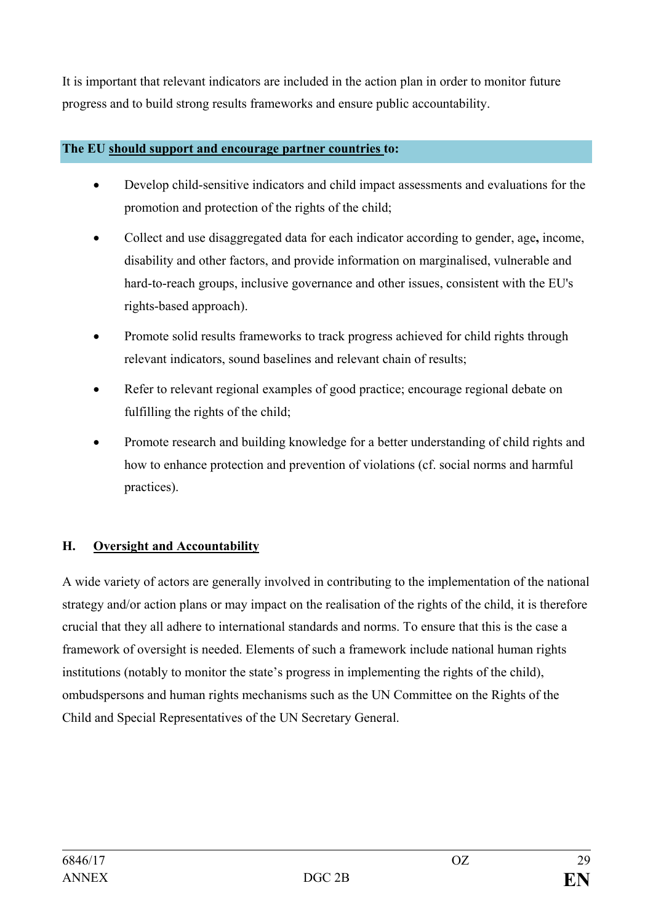It is important that relevant indicators are included in the action plan in order to monitor future progress and to build strong results frameworks and ensure public accountability.

## **The EU should support and encourage partner countries to:**

- Develop child-sensitive indicators and child impact assessments and evaluations for the promotion and protection of the rights of the child;
- Collect and use disaggregated data for each indicator according to gender, age**,** income, disability and other factors, and provide information on marginalised, vulnerable and hard-to-reach groups, inclusive governance and other issues, consistent with the EU's rights-based approach).
- Promote solid results frameworks to track progress achieved for child rights through relevant indicators, sound baselines and relevant chain of results;
- Refer to relevant regional examples of good practice; encourage regional debate on fulfilling the rights of the child;
- Promote research and building knowledge for a better understanding of child rights and how to enhance protection and prevention of violations (cf. social norms and harmful practices).

## **H. Oversight and Accountability**

A wide variety of actors are generally involved in contributing to the implementation of the national strategy and/or action plans or may impact on the realisation of the rights of the child, it is therefore crucial that they all adhere to international standards and norms. To ensure that this is the case a framework of oversight is needed. Elements of such a framework include national human rights institutions (notably to monitor the state's progress in implementing the rights of the child), ombudspersons and human rights mechanisms such as the UN Committee on the Rights of the Child and Special Representatives of the UN Secretary General.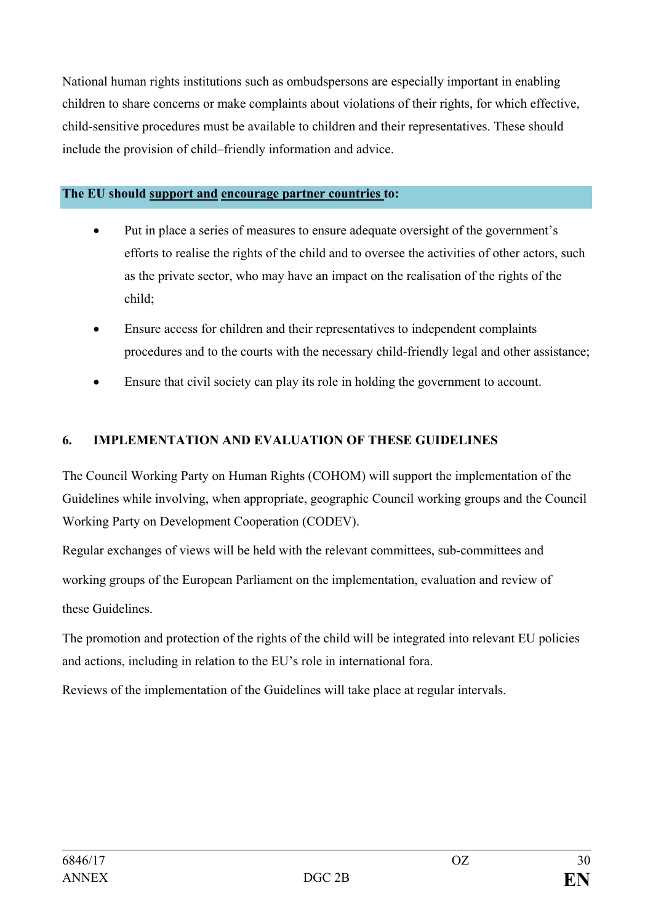National human rights institutions such as ombudspersons are especially important in enabling children to share concerns or make complaints about violations of their rights, for which effective, child-sensitive procedures must be available to children and their representatives. These should include the provision of child–friendly information and advice.

## **The EU should support and encourage partner countries to:**

- Put in place a series of measures to ensure adequate oversight of the government's efforts to realise the rights of the child and to oversee the activities of other actors, such as the private sector, who may have an impact on the realisation of the rights of the child;
- Ensure access for children and their representatives to independent complaints procedures and to the courts with the necessary child-friendly legal and other assistance;
- Ensure that civil society can play its role in holding the government to account.

## <span id="page-29-0"></span>**6. IMPLEMENTATION AND EVALUATION OF THESE GUIDELINES**

The Council Working Party on Human Rights (COHOM) will support the implementation of the Guidelines while involving, when appropriate, geographic Council working groups and the Council Working Party on Development Cooperation (CODEV).

Regular exchanges of views will be held with the relevant committees, sub-committees and working groups of the European Parliament on the implementation, evaluation and review of these Guidelines.

The promotion and protection of the rights of the child will be integrated into relevant EU policies and actions, including in relation to the EU's role in international fora.

Reviews of the implementation of the Guidelines will take place at regular intervals.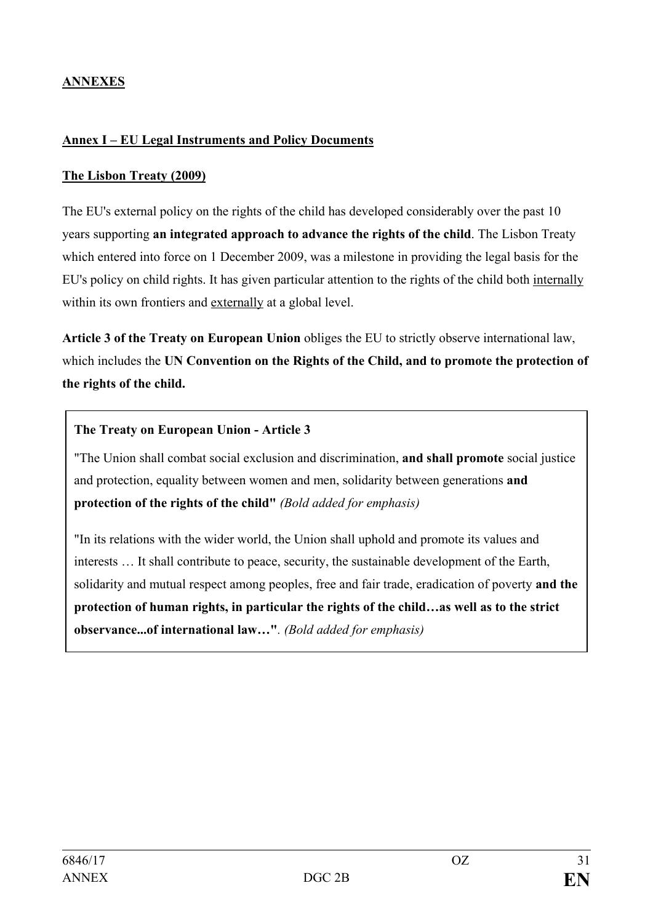## **ANNEXES**

### <span id="page-30-0"></span>**Annex I – EU Legal Instruments and Policy Documents**

## **The Lisbon Treaty (2009)**

The EU's external policy on the rights of the child has developed considerably over the past 10 years supporting **an integrated approach to advance the rights of the child**. The Lisbon Treaty which entered into force on 1 December 2009, was a milestone in providing the legal basis for the EU's policy on child rights. It has given particular attention to the rights of the child both internally within its own frontiers and externally at a global level.

**Article 3 of the Treaty on European Union** obliges the EU to strictly observe international law, which includes the **UN Convention on the Rights of the Child, and to promote the protection of the rights of the child.** 

#### **The Treaty on European Union - Article 3**

"The Union shall combat social exclusion and discrimination, **and shall promote** social justice and protection, equality between women and men, solidarity between generations **and protection of the rights of the child"** *(Bold added for emphasis)*

"In its relations with the wider world, the Union shall uphold and promote its values and interests … It shall contribute to peace, security, the sustainable development of the Earth, solidarity and mutual respect among peoples, free and fair trade, eradication of poverty **and the protection of human rights, in particular the rights of the child…as well as to the strict observance...of international law…"***. (Bold added for emphasis)*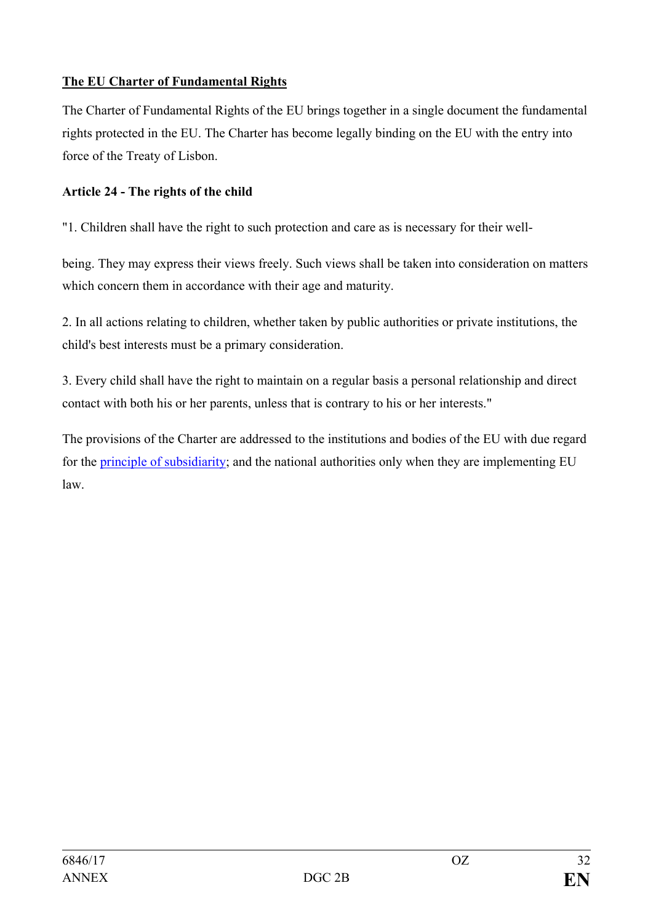## **The EU Charter of Fundamental Rights**

The Charter of Fundamental Rights of the EU brings together in a single document the fundamental rights protected in the EU. The Charter has become legally binding on the EU with the entry into force of the Treaty of Lisbon.

## **Article 24 - The rights of the child**

"1. Children shall have the right to such protection and care as is necessary for their well-

being. They may express their views freely. Such views shall be taken into consideration on matters which concern them in accordance with their age and maturity.

2. In all actions relating to children, whether taken by public authorities or private institutions, the child's best interests must be a primary consideration.

3. Every child shall have the right to maintain on a regular basis a personal relationship and direct contact with both his or her parents, unless that is contrary to his or her interests."

The provisions of the Charter are addressed to the institutions and bodies of the EU with due regard for the [principle of subsidiarity;](http://europa.eu/legislation_summaries/glossary/subsidiarity_en.htm) and the national authorities only when they are implementing EU law.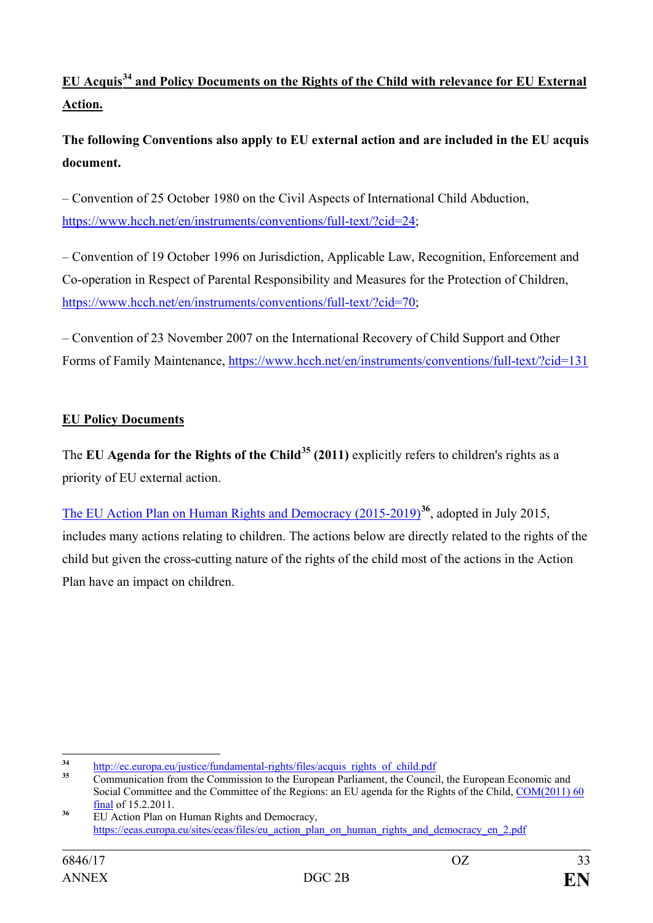# **EU Acquis[34](#page-32-0) and Policy Documents on the Rights of the Child with relevance for EU External Action.**

**The following Conventions also apply to EU external action and are included in the EU acquis document.**

– Convention of 25 October 1980 on the Civil Aspects of International Child Abduction, [https://www.hcch.net/en/instruments/conventions/full-text/?cid=24;](https://www.hcch.net/en/instruments/conventions/full-text/?cid=24)

– Convention of 19 October 1996 on Jurisdiction, Applicable Law, Recognition, Enforcement and Co-operation in Respect of Parental Responsibility and Measures for the Protection of Children, [https://www.hcch.net/en/instruments/conventions/full-text/?cid=70;](https://www.hcch.net/en/instruments/conventions/full-text/?cid=70)

– Convention of 23 November 2007 on the International Recovery of Child Support and Other Forms of Family Maintenance,<https://www.hcch.net/en/instruments/conventions/full-text/?cid=131>

## **EU Policy Documents**

The **EU Agenda for the Rights of the Child[35](#page-32-1) (2011)** explicitly refers to children's rights as a priority of EU external action.

[The EU Action Plan on Human Rights and Democracy \(2015-2019\)](https://eeas.europa.eu/sites/eeas/files/eu_action_plan_on_human_rights_and_democracy_en_2.pdf)**[36](#page-32-2)**, adopted in July 2015, includes many actions relating to children. The actions below are directly related to the rights of the child but given the cross-cutting nature of the rights of the child most of the actions in the Action Plan have an impact on children.

<span id="page-32-1"></span><span id="page-32-0"></span>

<sup>&</sup>lt;sup>34</sup> [http://ec.europa.eu/justice/fundamental-rights/files/acquis\\_rights\\_of\\_child.pdf](http://ec.europa.eu/justice/fundamental-rights/files/acquis_rights_of_child.pdf)<br><sup>35</sup> Communication from the Commission to the European Parliament, the Council, the European Economic and Social Committee and the Committee of the Regions: an EU agenda for the Rights of the Child, [COM\(2011\) 60](http://eur-lex.europa.eu/legal-content/EN/AUTO/?uri=celex:52011DC0060) final of 15.2.2011.

<span id="page-32-2"></span><sup>&</sup>lt;sup>36</sup> EU Action Plan on Human Rights and Democracy, [https://eeas.europa.eu/sites/eeas/files/eu\\_action\\_plan\\_on\\_human\\_rights\\_and\\_democracy\\_en\\_2.pdf](https://eeas.europa.eu/sites/eeas/files/eu_action_plan_on_human_rights_and_democracy_en_2.pdf)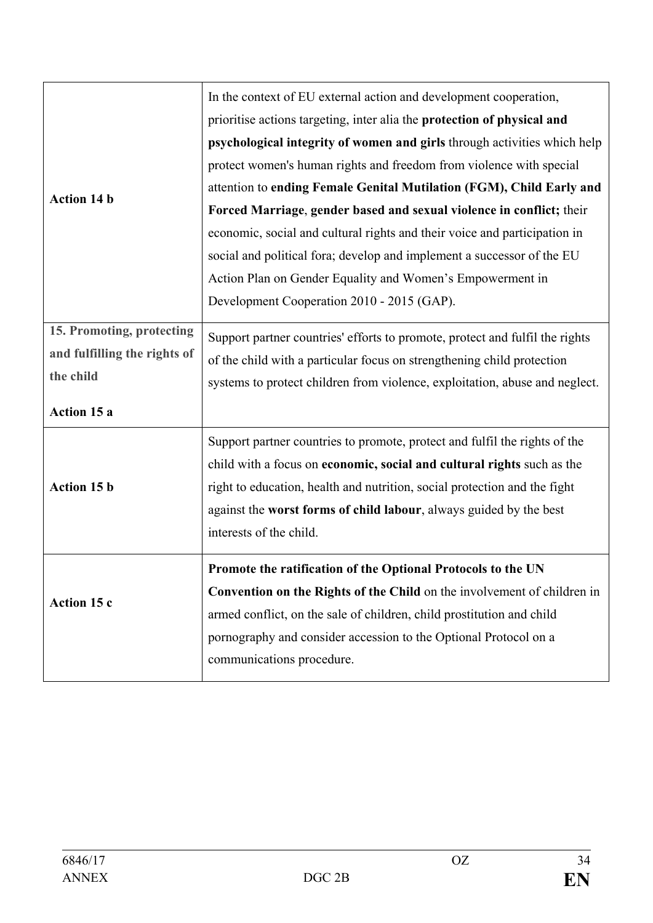|                              | In the context of EU external action and development cooperation,            |
|------------------------------|------------------------------------------------------------------------------|
|                              | prioritise actions targeting, inter alia the protection of physical and      |
|                              | psychological integrity of women and girls through activities which help     |
|                              | protect women's human rights and freedom from violence with special          |
| <b>Action 14 b</b>           | attention to ending Female Genital Mutilation (FGM), Child Early and         |
|                              | Forced Marriage, gender based and sexual violence in conflict; their         |
|                              | economic, social and cultural rights and their voice and participation in    |
|                              | social and political fora; develop and implement a successor of the EU       |
|                              | Action Plan on Gender Equality and Women's Empowerment in                    |
|                              | Development Cooperation 2010 - 2015 (GAP).                                   |
| 15. Promoting, protecting    |                                                                              |
| and fulfilling the rights of | Support partner countries' efforts to promote, protect and fulfil the rights |
| the child                    | of the child with a particular focus on strengthening child protection       |
|                              | systems to protect children from violence, exploitation, abuse and neglect.  |
| Action 15 a                  |                                                                              |
|                              | Support partner countries to promote, protect and fulfil the rights of the   |
|                              | child with a focus on economic, social and cultural rights such as the       |
| Action 15 b                  | right to education, health and nutrition, social protection and the fight    |
|                              | against the worst forms of child labour, always guided by the best           |
|                              | interests of the child.                                                      |
|                              | Promote the ratification of the Optional Protocols to the UN                 |
|                              | Convention on the Rights of the Child on the involvement of children in      |
| Action 15 c                  | armed conflict, on the sale of children, child prostitution and child        |
|                              |                                                                              |
|                              | pornography and consider accession to the Optional Protocol on a             |
|                              | communications procedure.                                                    |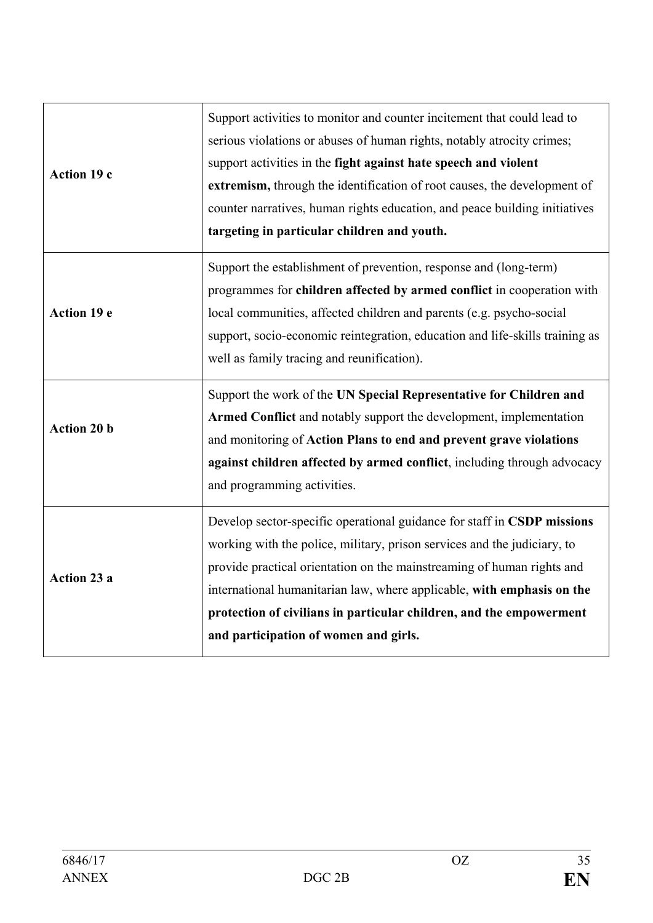| Action 19 c        | Support activities to monitor and counter incitement that could lead to<br>serious violations or abuses of human rights, notably atrocity crimes;<br>support activities in the fight against hate speech and violent<br>extremism, through the identification of root causes, the development of<br>counter narratives, human rights education, and peace building initiatives<br>targeting in particular children and youth. |
|--------------------|-------------------------------------------------------------------------------------------------------------------------------------------------------------------------------------------------------------------------------------------------------------------------------------------------------------------------------------------------------------------------------------------------------------------------------|
| Action 19 e        | Support the establishment of prevention, response and (long-term)<br>programmes for children affected by armed conflict in cooperation with<br>local communities, affected children and parents (e.g. psycho-social<br>support, socio-economic reintegration, education and life-skills training as<br>well as family tracing and reunification).                                                                             |
| Action 20 b        | Support the work of the UN Special Representative for Children and<br>Armed Conflict and notably support the development, implementation<br>and monitoring of Action Plans to end and prevent grave violations<br>against children affected by armed conflict, including through advocacy<br>and programming activities.                                                                                                      |
| <b>Action 23 a</b> | Develop sector-specific operational guidance for staff in CSDP missions<br>working with the police, military, prison services and the judiciary, to<br>provide practical orientation on the mainstreaming of human rights and<br>international humanitarian law, where applicable, with emphasis on the<br>protection of civilians in particular children, and the empowerment<br>and participation of women and girls.       |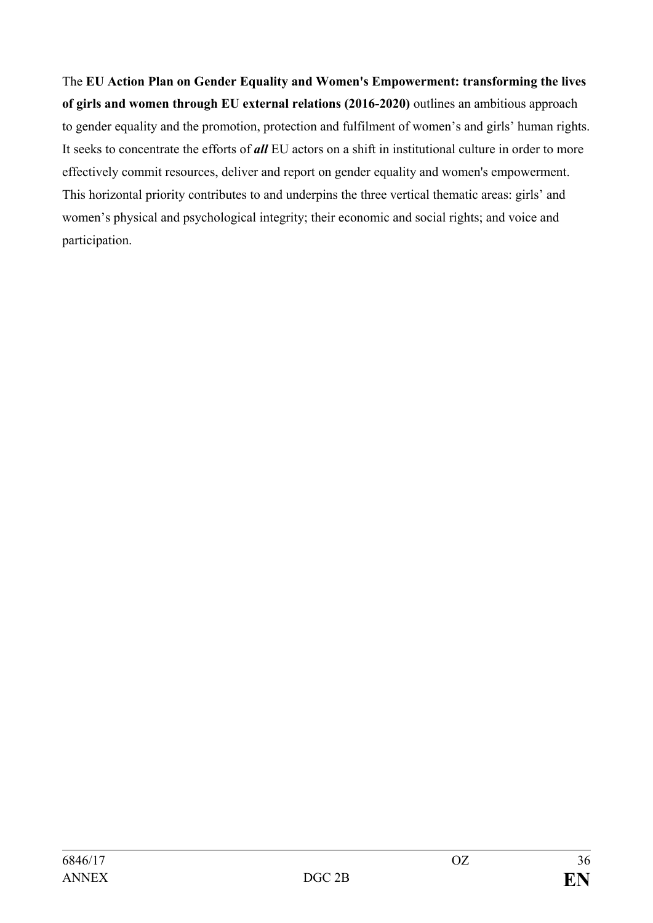The **[EU Action Plan on Gender Equality and Women's Empowerment: transforming the lives](http://ec.europa.eu/europeaid/sites/devco/files/staff-working-document-gender-2016-2020-20150922_en.pdf)  of girls and [women through EU external relations](http://ec.europa.eu/europeaid/sites/devco/files/staff-working-document-gender-2016-2020-20150922_en.pdf) (2016-2020)** outlines an ambitious approach to gender equality and the promotion, protection and fulfilment of women's and girls' human rights. It seeks to concentrate the efforts of *all* EU actors on a shift in institutional culture in order to more effectively commit resources, deliver and report on gender equality and women's empowerment. This horizontal priority contributes to and underpins the three vertical thematic areas: girls' and women's physical and psychological integrity; their economic and social rights; and voice and participation.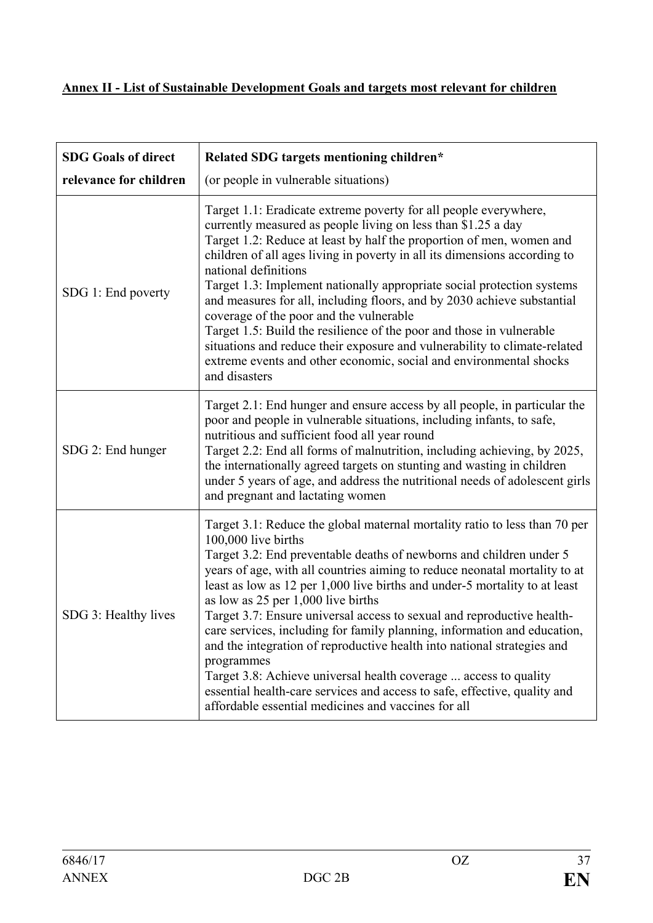## <span id="page-36-0"></span>**Annex II - List of Sustainable Development Goals and targets most relevant for children**

| <b>SDG Goals of direct</b> | Related SDG targets mentioning children*                                                                                                                                                                                                                                                                                                                                                                                                                                                                                                                                                                                                                                                                                                                                                                                          |
|----------------------------|-----------------------------------------------------------------------------------------------------------------------------------------------------------------------------------------------------------------------------------------------------------------------------------------------------------------------------------------------------------------------------------------------------------------------------------------------------------------------------------------------------------------------------------------------------------------------------------------------------------------------------------------------------------------------------------------------------------------------------------------------------------------------------------------------------------------------------------|
| relevance for children     | (or people in vulnerable situations)                                                                                                                                                                                                                                                                                                                                                                                                                                                                                                                                                                                                                                                                                                                                                                                              |
| SDG 1: End poverty         | Target 1.1: Eradicate extreme poverty for all people everywhere,<br>currently measured as people living on less than \$1.25 a day<br>Target 1.2: Reduce at least by half the proportion of men, women and<br>children of all ages living in poverty in all its dimensions according to<br>national definitions<br>Target 1.3: Implement nationally appropriate social protection systems<br>and measures for all, including floors, and by 2030 achieve substantial<br>coverage of the poor and the vulnerable<br>Target 1.5: Build the resilience of the poor and those in vulnerable<br>situations and reduce their exposure and vulnerability to climate-related<br>extreme events and other economic, social and environmental shocks<br>and disasters                                                                        |
| SDG 2: End hunger          | Target 2.1: End hunger and ensure access by all people, in particular the<br>poor and people in vulnerable situations, including infants, to safe,<br>nutritious and sufficient food all year round<br>Target 2.2: End all forms of malnutrition, including achieving, by 2025,<br>the internationally agreed targets on stunting and wasting in children<br>under 5 years of age, and address the nutritional needs of adolescent girls<br>and pregnant and lactating women                                                                                                                                                                                                                                                                                                                                                      |
| SDG 3: Healthy lives       | Target 3.1: Reduce the global maternal mortality ratio to less than 70 per<br>100,000 live births<br>Target 3.2: End preventable deaths of newborns and children under 5<br>years of age, with all countries aiming to reduce neonatal mortality to at<br>least as low as 12 per 1,000 live births and under-5 mortality to at least<br>as low as 25 per 1,000 live births<br>Target 3.7: Ensure universal access to sexual and reproductive health-<br>care services, including for family planning, information and education,<br>and the integration of reproductive health into national strategies and<br>programmes<br>Target 3.8: Achieve universal health coverage  access to quality<br>essential health-care services and access to safe, effective, quality and<br>affordable essential medicines and vaccines for all |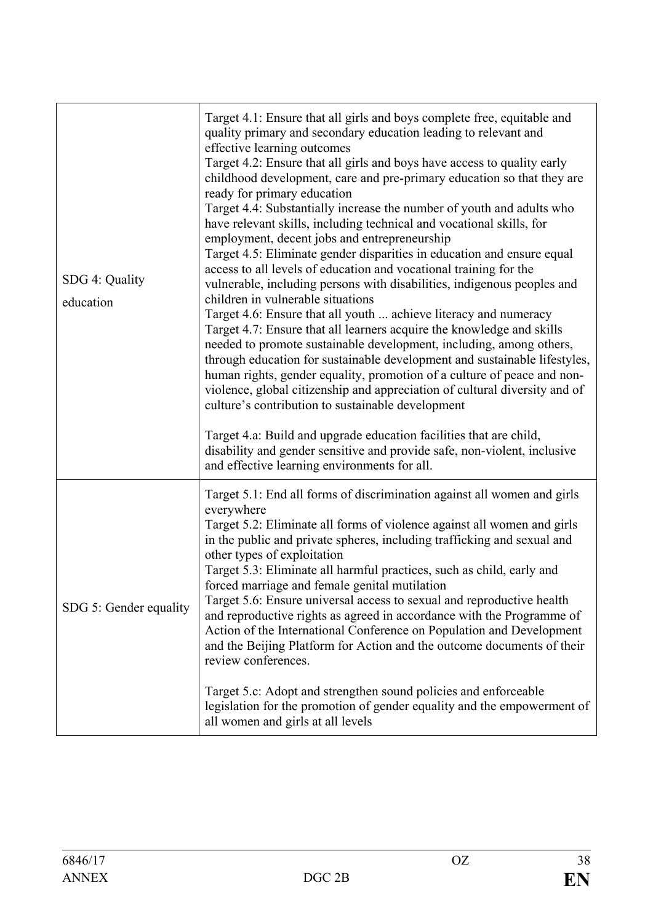| SDG 4: Quality<br>education | Target 4.1: Ensure that all girls and boys complete free, equitable and<br>quality primary and secondary education leading to relevant and<br>effective learning outcomes<br>Target 4.2: Ensure that all girls and boys have access to quality early<br>childhood development, care and pre-primary education so that they are<br>ready for primary education<br>Target 4.4: Substantially increase the number of youth and adults who<br>have relevant skills, including technical and vocational skills, for<br>employment, decent jobs and entrepreneurship<br>Target 4.5: Eliminate gender disparities in education and ensure equal<br>access to all levels of education and vocational training for the<br>vulnerable, including persons with disabilities, indigenous peoples and<br>children in vulnerable situations<br>Target 4.6: Ensure that all youth  achieve literacy and numeracy<br>Target 4.7: Ensure that all learners acquire the knowledge and skills<br>needed to promote sustainable development, including, among others,<br>through education for sustainable development and sustainable lifestyles,<br>human rights, gender equality, promotion of a culture of peace and non-<br>violence, global citizenship and appreciation of cultural diversity and of<br>culture's contribution to sustainable development |
|-----------------------------|----------------------------------------------------------------------------------------------------------------------------------------------------------------------------------------------------------------------------------------------------------------------------------------------------------------------------------------------------------------------------------------------------------------------------------------------------------------------------------------------------------------------------------------------------------------------------------------------------------------------------------------------------------------------------------------------------------------------------------------------------------------------------------------------------------------------------------------------------------------------------------------------------------------------------------------------------------------------------------------------------------------------------------------------------------------------------------------------------------------------------------------------------------------------------------------------------------------------------------------------------------------------------------------------------------------------------------------------|
|                             | Target 4.a: Build and upgrade education facilities that are child,<br>disability and gender sensitive and provide safe, non-violent, inclusive<br>and effective learning environments for all.                                                                                                                                                                                                                                                                                                                                                                                                                                                                                                                                                                                                                                                                                                                                                                                                                                                                                                                                                                                                                                                                                                                                               |
| SDG 5: Gender equality      | Target 5.1: End all forms of discrimination against all women and girls<br>everywhere<br>Target 5.2: Eliminate all forms of violence against all women and girls<br>in the public and private spheres, including trafficking and sexual and<br>other types of exploitation<br>Target 5.3: Eliminate all harmful practices, such as child, early and<br>forced marriage and female genital mutilation<br>Target 5.6: Ensure universal access to sexual and reproductive health<br>and reproductive rights as agreed in accordance with the Programme of<br>Action of the International Conference on Population and Development<br>and the Beijing Platform for Action and the outcome documents of their<br>review conferences.<br>Target 5.c: Adopt and strengthen sound policies and enforceable<br>legislation for the promotion of gender equality and the empowerment of<br>all women and girls at all levels                                                                                                                                                                                                                                                                                                                                                                                                                           |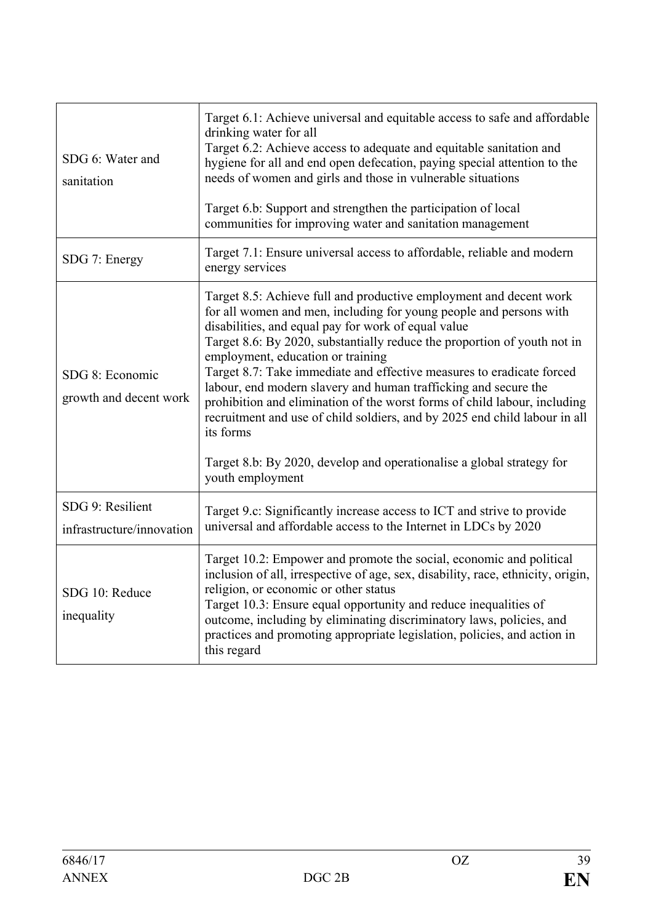| SDG 6: Water and<br>sanitation                | Target 6.1: Achieve universal and equitable access to safe and affordable<br>drinking water for all<br>Target 6.2: Achieve access to adequate and equitable sanitation and<br>hygiene for all and end open defecation, paying special attention to the<br>needs of women and girls and those in vulnerable situations<br>Target 6.b: Support and strengthen the participation of local<br>communities for improving water and sanitation management                                                                                                                                                                                                                                                                               |
|-----------------------------------------------|-----------------------------------------------------------------------------------------------------------------------------------------------------------------------------------------------------------------------------------------------------------------------------------------------------------------------------------------------------------------------------------------------------------------------------------------------------------------------------------------------------------------------------------------------------------------------------------------------------------------------------------------------------------------------------------------------------------------------------------|
| SDG 7: Energy                                 | Target 7.1: Ensure universal access to affordable, reliable and modern<br>energy services                                                                                                                                                                                                                                                                                                                                                                                                                                                                                                                                                                                                                                         |
| SDG 8: Economic<br>growth and decent work     | Target 8.5: Achieve full and productive employment and decent work<br>for all women and men, including for young people and persons with<br>disabilities, and equal pay for work of equal value<br>Target 8.6: By 2020, substantially reduce the proportion of youth not in<br>employment, education or training<br>Target 8.7: Take immediate and effective measures to eradicate forced<br>labour, end modern slavery and human trafficking and secure the<br>prohibition and elimination of the worst forms of child labour, including<br>recruitment and use of child soldiers, and by 2025 end child labour in all<br>its forms<br>Target 8.b: By 2020, develop and operationalise a global strategy for<br>youth employment |
| SDG 9: Resilient<br>infrastructure/innovation | Target 9.c: Significantly increase access to ICT and strive to provide<br>universal and affordable access to the Internet in LDCs by 2020                                                                                                                                                                                                                                                                                                                                                                                                                                                                                                                                                                                         |
| SDG 10: Reduce<br>inequality                  | Target 10.2: Empower and promote the social, economic and political<br>inclusion of all, irrespective of age, sex, disability, race, ethnicity, origin,<br>religion, or economic or other status<br>Target 10.3: Ensure equal opportunity and reduce inequalities of<br>outcome, including by eliminating discriminatory laws, policies, and<br>practices and promoting appropriate legislation, policies, and action in<br>this regard                                                                                                                                                                                                                                                                                           |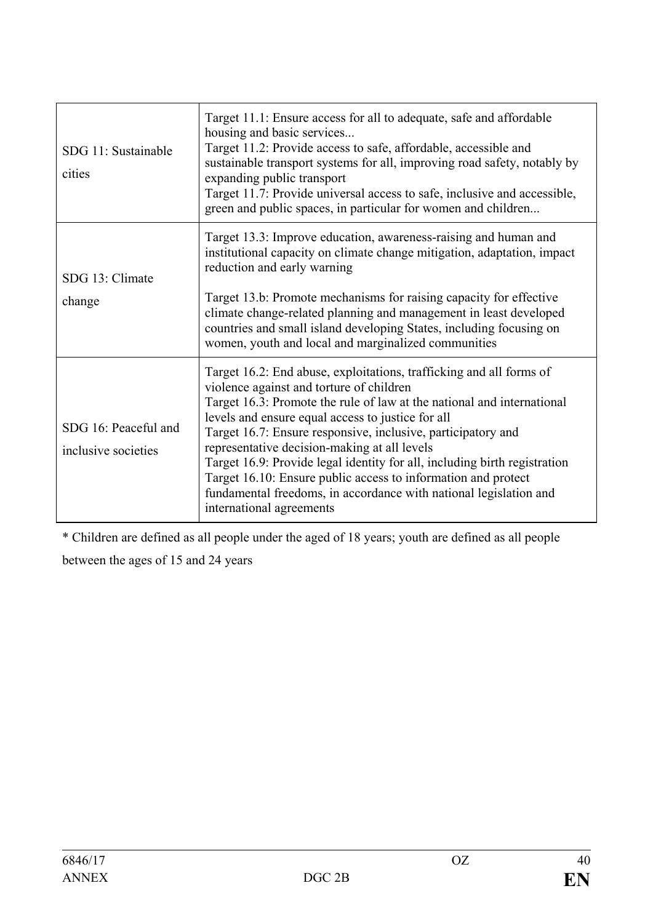| SDG 11: Sustainable<br>cities               | Target 11.1: Ensure access for all to adequate, safe and affordable<br>housing and basic services<br>Target 11.2: Provide access to safe, affordable, accessible and<br>sustainable transport systems for all, improving road safety, notably by<br>expanding public transport<br>Target 11.7: Provide universal access to safe, inclusive and accessible,<br>green and public spaces, in particular for women and children                                                                                                                                                                                   |
|---------------------------------------------|---------------------------------------------------------------------------------------------------------------------------------------------------------------------------------------------------------------------------------------------------------------------------------------------------------------------------------------------------------------------------------------------------------------------------------------------------------------------------------------------------------------------------------------------------------------------------------------------------------------|
| SDG 13: Climate<br>change                   | Target 13.3: Improve education, awareness-raising and human and<br>institutional capacity on climate change mitigation, adaptation, impact<br>reduction and early warning<br>Target 13.b: Promote mechanisms for raising capacity for effective<br>climate change-related planning and management in least developed<br>countries and small island developing States, including focusing on<br>women, youth and local and marginalized communities                                                                                                                                                            |
| SDG 16: Peaceful and<br>inclusive societies | Target 16.2: End abuse, exploitations, trafficking and all forms of<br>violence against and torture of children<br>Target 16.3: Promote the rule of law at the national and international<br>levels and ensure equal access to justice for all<br>Target 16.7: Ensure responsive, inclusive, participatory and<br>representative decision-making at all levels<br>Target 16.9: Provide legal identity for all, including birth registration<br>Target 16.10: Ensure public access to information and protect<br>fundamental freedoms, in accordance with national legislation and<br>international agreements |

\* Children are defined as all people under the aged of 18 years; youth are defined as all people

between the ages of 15 and 24 years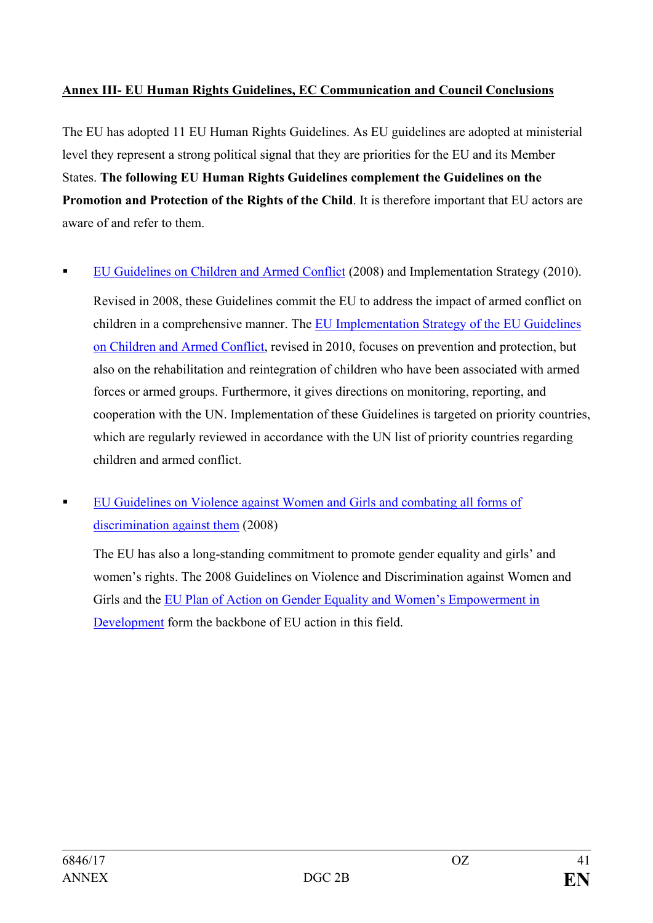## <span id="page-40-0"></span>**Annex III- EU Human Rights Guidelines, EC Communication and Council Conclusions**

The EU has adopted 11 EU Human Rights Guidelines. As EU guidelines are adopted at ministerial level they represent a strong political signal that they are priorities for the EU and its Member States. **The following EU Human Rights Guidelines complement the Guidelines on the Promotion and Protection of the Rights of the Child**. It is therefore important that EU actors are aware of and refer to them.

[EU Guidelines on Children](http://data.consilium.europa.eu/doc/document/ST-10019-2008-INIT/en/pdf) and Armed Conflict (2008) and Implementation Strategy (2010).

Revised in 2008, these Guidelines commit the EU to address the impact of armed conflict on children in a comprehensive manner. The [EU Implementation Strategy of the EU Guidelines](http://data.consilium.europa.eu/doc/document/ST-17488-2010-INIT/en/pdf)  [on Children and Armed Conflict,](http://data.consilium.europa.eu/doc/document/ST-17488-2010-INIT/en/pdf) revised in 2010, focuses on prevention and protection, but also on the rehabilitation and reintegration of children who have been associated with armed forces or armed groups. Furthermore, it gives directions on monitoring, reporting, and cooperation with the UN. Implementation of these Guidelines is targeted on priority countries, which are regularly reviewed in accordance with the UN list of priority countries regarding children and armed conflict.

 [EU Guidelines on Violence against Women and Girls and combating all forms of](http://data.consilium.europa.eu/doc/document/ST-16173-2008-INIT/en/pdf)  [discrimination against them](http://data.consilium.europa.eu/doc/document/ST-16173-2008-INIT/en/pdf) (2008)

The EU has also a long-standing commitment to promote gender equality and girls' and women's rights. The 2008 Guidelines on Violence and Discrimination against Women and Girls and the [EU Plan of Action on Gender Equality and Women's Empowerment in](http://ec.europa.eu/europeaid/sites/devco/files/staff-working-document-gender-2016-2020-20150922_en.pdf)  [Development](http://ec.europa.eu/europeaid/sites/devco/files/staff-working-document-gender-2016-2020-20150922_en.pdf) form the backbone of EU action in this field.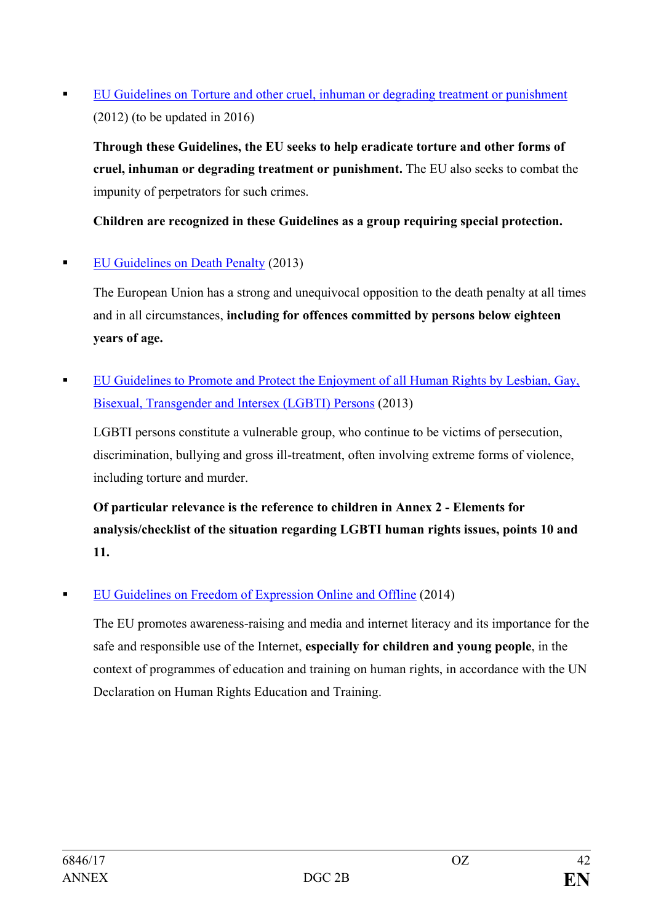[EU Guidelines on Torture and other cruel, inhuman or degrading treatment or punishment](http://data.consilium.europa.eu/doc/document/ST-6129-2012-REV-1/en/pdf) (2012) (to be updated in 2016)

**Through these Guidelines, the EU seeks to help eradicate torture and other forms of cruel, inhuman or degrading treatment or punishment.** The EU also seeks to combat the impunity of perpetrators for such crimes.

**Children are recognized in these Guidelines as a group requiring special protection.**

## [EU Guidelines on Death Penalty](http://data.consilium.europa.eu/doc/document/ST-8416-2013-INIT/en/pdf) (2013)

The European Union has a strong and unequivocal opposition to the death penalty at all times and in all circumstances, **including for offences committed by persons below eighteen years of age.**

EU Guidelines to Promote and Protect the Enjoyment of all Human Rights by Lesbian, Gay, [Bisexual, Transgender and Intersex \(LGBTI\) Persons](http://data.consilium.europa.eu/doc/document/ST-11492-2013-INIT/en/pdf) (2013)

LGBTI persons constitute a vulnerable group, who continue to be victims of persecution, discrimination, bullying and gross ill-treatment, often involving extreme forms of violence, including torture and murder.

**Of particular relevance is the reference to children in Annex 2 - Elements for analysis/checklist of the situation regarding LGBTI human rights issues, points 10 and 11.** 

[EU Guidelines on Freedom of Expression Online and Offline](http://data.consilium.europa.eu/doc/document/ST-9647-2014-INIT/en/pdf) (2014)

The EU promotes awareness-raising and media and internet literacy and its importance for the safe and responsible use of the Internet, **especially for children and young people**, in the context of programmes of education and training on human rights, in accordance with the UN Declaration on Human Rights Education and Training.